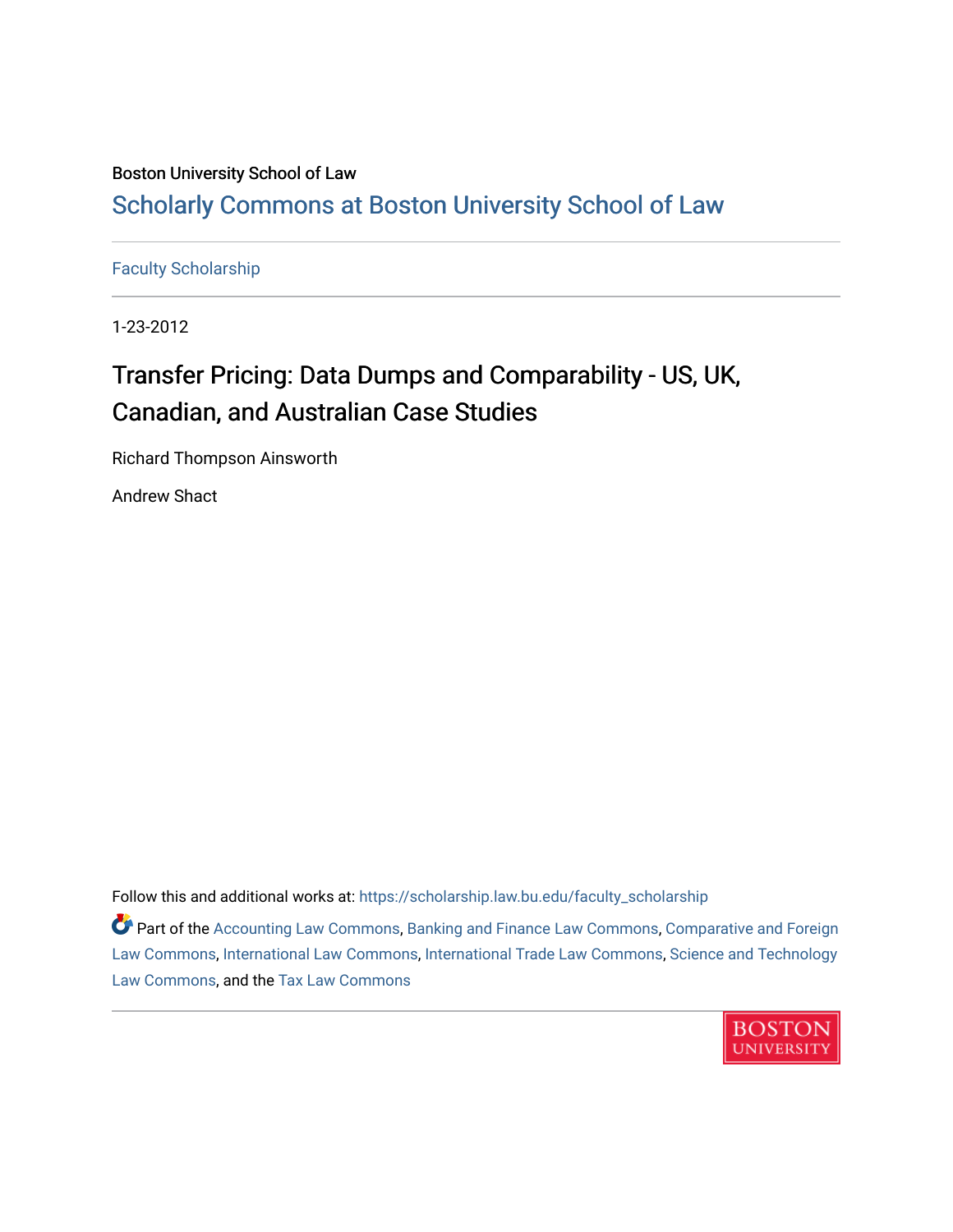## Boston University School of Law [Scholarly Commons at Boston University School of Law](https://scholarship.law.bu.edu/)

[Faculty Scholarship](https://scholarship.law.bu.edu/faculty_scholarship)

1-23-2012

# Transfer Pricing: Data Dumps and Comparability - US, UK, Canadian, and Australian Case Studies

Richard Thompson Ainsworth

Andrew Shact

Follow this and additional works at: [https://scholarship.law.bu.edu/faculty\\_scholarship](https://scholarship.law.bu.edu/faculty_scholarship?utm_source=scholarship.law.bu.edu%2Ffaculty_scholarship%2F1460&utm_medium=PDF&utm_campaign=PDFCoverPages)

Part of the [Accounting Law Commons](http://network.bepress.com/hgg/discipline/828?utm_source=scholarship.law.bu.edu%2Ffaculty_scholarship%2F1460&utm_medium=PDF&utm_campaign=PDFCoverPages), [Banking and Finance Law Commons](http://network.bepress.com/hgg/discipline/833?utm_source=scholarship.law.bu.edu%2Ffaculty_scholarship%2F1460&utm_medium=PDF&utm_campaign=PDFCoverPages), [Comparative and Foreign](http://network.bepress.com/hgg/discipline/836?utm_source=scholarship.law.bu.edu%2Ffaculty_scholarship%2F1460&utm_medium=PDF&utm_campaign=PDFCoverPages) [Law Commons,](http://network.bepress.com/hgg/discipline/836?utm_source=scholarship.law.bu.edu%2Ffaculty_scholarship%2F1460&utm_medium=PDF&utm_campaign=PDFCoverPages) [International Law Commons,](http://network.bepress.com/hgg/discipline/609?utm_source=scholarship.law.bu.edu%2Ffaculty_scholarship%2F1460&utm_medium=PDF&utm_campaign=PDFCoverPages) [International Trade Law Commons](http://network.bepress.com/hgg/discipline/848?utm_source=scholarship.law.bu.edu%2Ffaculty_scholarship%2F1460&utm_medium=PDF&utm_campaign=PDFCoverPages), [Science and Technology](http://network.bepress.com/hgg/discipline/875?utm_source=scholarship.law.bu.edu%2Ffaculty_scholarship%2F1460&utm_medium=PDF&utm_campaign=PDFCoverPages) [Law Commons,](http://network.bepress.com/hgg/discipline/875?utm_source=scholarship.law.bu.edu%2Ffaculty_scholarship%2F1460&utm_medium=PDF&utm_campaign=PDFCoverPages) and the [Tax Law Commons](http://network.bepress.com/hgg/discipline/898?utm_source=scholarship.law.bu.edu%2Ffaculty_scholarship%2F1460&utm_medium=PDF&utm_campaign=PDFCoverPages)

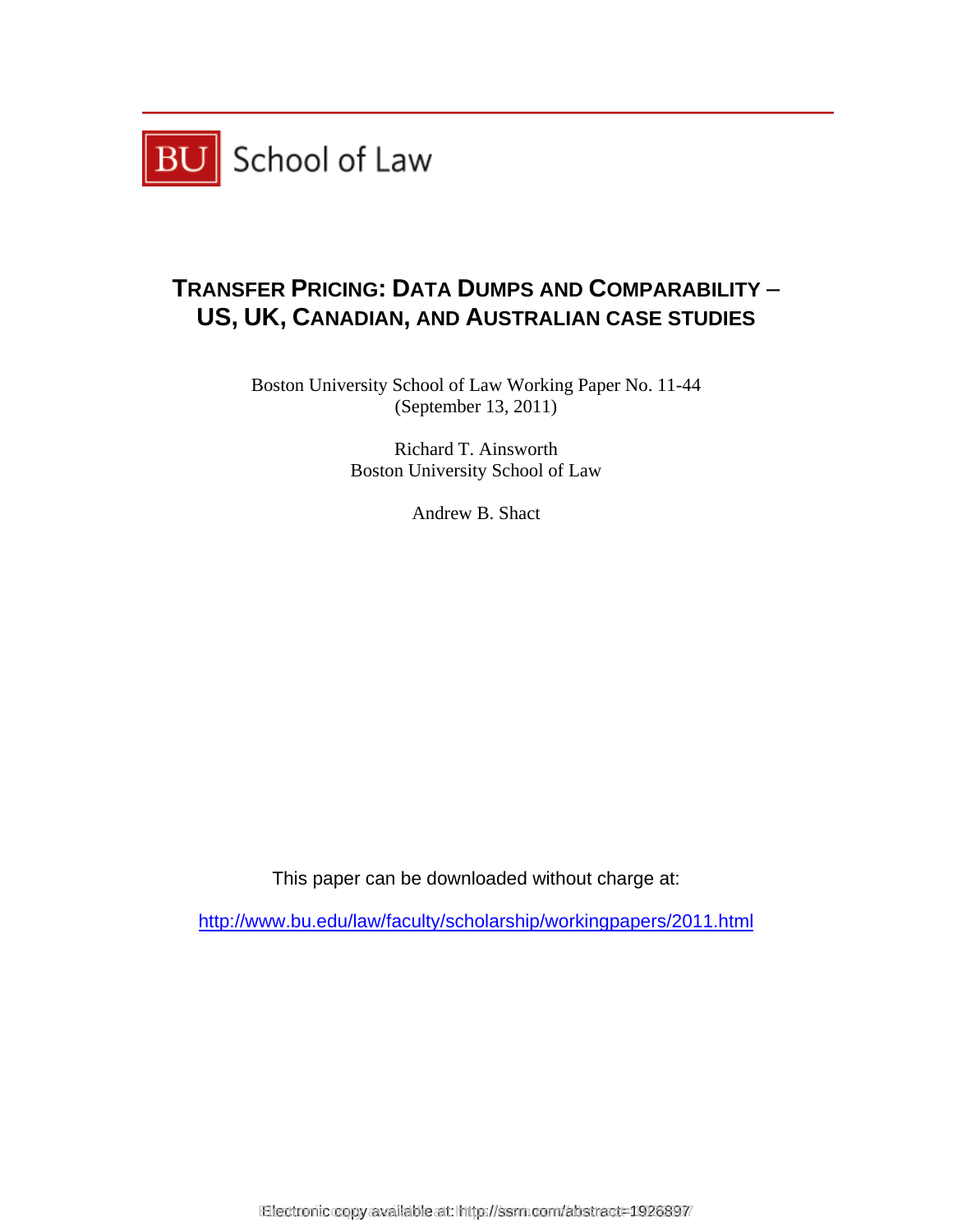

## **TRANSFER PRICING: DATA DUMPS AND COMPARABILITY US, UK, CANADIAN, AND AUSTRALIAN CASE STUDIES**

Boston University School of Law Working Paper No. 11-44 (September 13, 2011)

> Richard T. Ainsworth Boston University School of Law

> > Andrew B. Shact

This paper can be downloaded without charge at:

http://www.bu.edu/law/faculty/scholarship/workingpapers/2011.html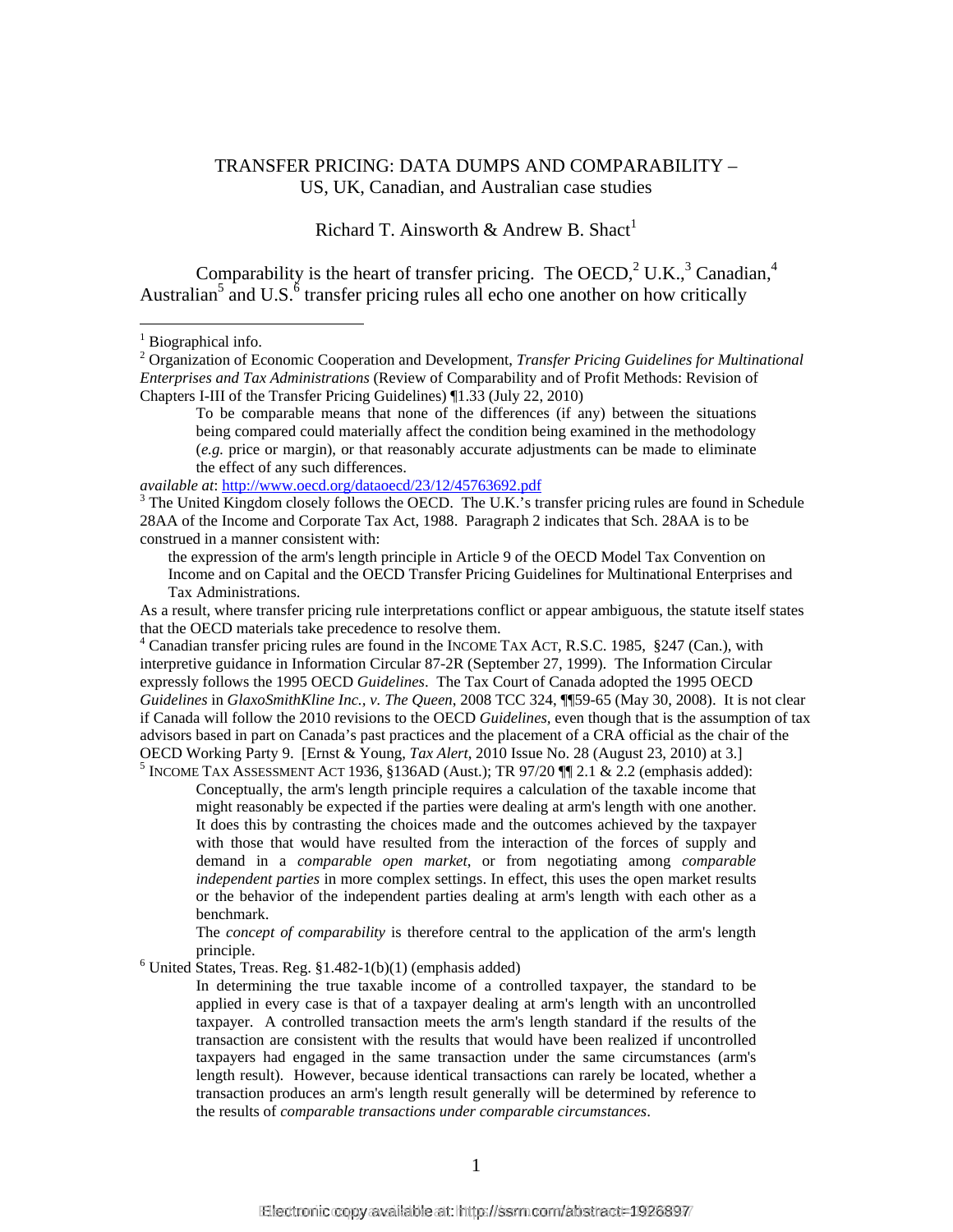## TRANSFER PRICING: DATA DUMPS AND COMPARABILITY – US, UK, Canadian, and Australian case studies

Richard T. Ainsworth & Andrew B. Shact<sup>1</sup>

Comparability is the heart of transfer pricing. The OECD,  $2^{\circ}$  U.K.,  $3^{\circ}$  Canadian,  $4^{\circ}$ Australian<sup>5</sup> and U.S.<sup> $\delta$ </sup> transfer pricing rules all echo one another on how critically

 $\overline{a}$ 

*available at*: http://www.oecd.org/dataoecd/23/12/45763692.pdf <sup>3</sup>

As a result, where transfer pricing rule interpretations conflict or appear ambiguous, the statute itself states that the OECD materials take precedence to resolve them.

4 Canadian transfer pricing rules are found in the INCOME TAX ACT, R.S.C. 1985, §247 (Can.), with interpretive guidance in Information Circular 87-2R (September 27, 1999). The Information Circular expressly follows the 1995 OECD *Guidelines*. The Tax Court of Canada adopted the 1995 OECD *Guidelines* in *GlaxoSmithKline Inc., v. The Queen*, 2008 TCC 324, ¶¶59-65 (May 30, 2008). It is not clear if Canada will follow the 2010 revisions to the OECD *Guidelines,* even though that is the assumption of tax advisors based in part on Canada's past practices and the placement of a CRA official as the chair of the OECD Working Party 9. [Ernst & Young, *Tax Alert*, 2010 Issue No. 28 (August 23, 2010) at 3.] 5 <sup>5</sup> INCOME TAX ASSESSMENT ACT 1936, §136AD (Aust.); TR 97/20  $\P$  $2.1$  & 2.2 (emphasis added):

Conceptually, the arm's length principle requires a calculation of the taxable income that might reasonably be expected if the parties were dealing at arm's length with one another. It does this by contrasting the choices made and the outcomes achieved by the taxpayer with those that would have resulted from the interaction of the forces of supply and demand in a *comparable open market*, or from negotiating among *comparable independent parties* in more complex settings. In effect, this uses the open market results or the behavior of the independent parties dealing at arm's length with each other as a benchmark.

The *concept of comparability* is therefore central to the application of the arm's length

principle.<br><sup>6</sup> United States, Treas. Reg. §1.482-1(b)(1) (emphasis added)

In determining the true taxable income of a controlled taxpayer, the standard to be applied in every case is that of a taxpayer dealing at arm's length with an uncontrolled taxpayer. A controlled transaction meets the arm's length standard if the results of the transaction are consistent with the results that would have been realized if uncontrolled taxpayers had engaged in the same transaction under the same circumstances (arm's length result). However, because identical transactions can rarely be located, whether a transaction produces an arm's length result generally will be determined by reference to the results of *comparable transactions under comparable circumstances*.

<sup>&</sup>lt;sup>1</sup> Biographical info.

<sup>2</sup> Organization of Economic Cooperation and Development, *Transfer Pricing Guidelines for Multinational Enterprises and Tax Administrations* (Review of Comparability and of Profit Methods: Revision of Chapters I-III of the Transfer Pricing Guidelines) ¶1.33 (July 22, 2010)

To be comparable means that none of the differences (if any) between the situations being compared could materially affect the condition being examined in the methodology (*e.g.* price or margin), or that reasonably accurate adjustments can be made to eliminate the effect of any such differences.

 $3$  The United Kingdom closely follows the OECD. The U.K.'s transfer pricing rules are found in Schedule 28AA of the Income and Corporate Tax Act, 1988. Paragraph 2 indicates that Sch. 28AA is to be construed in a manner consistent with:

the expression of the arm's length principle in Article 9 of the OECD Model Tax Convention on Income and on Capital and the OECD Transfer Pricing Guidelines for Multinational Enterprises and Tax Administrations.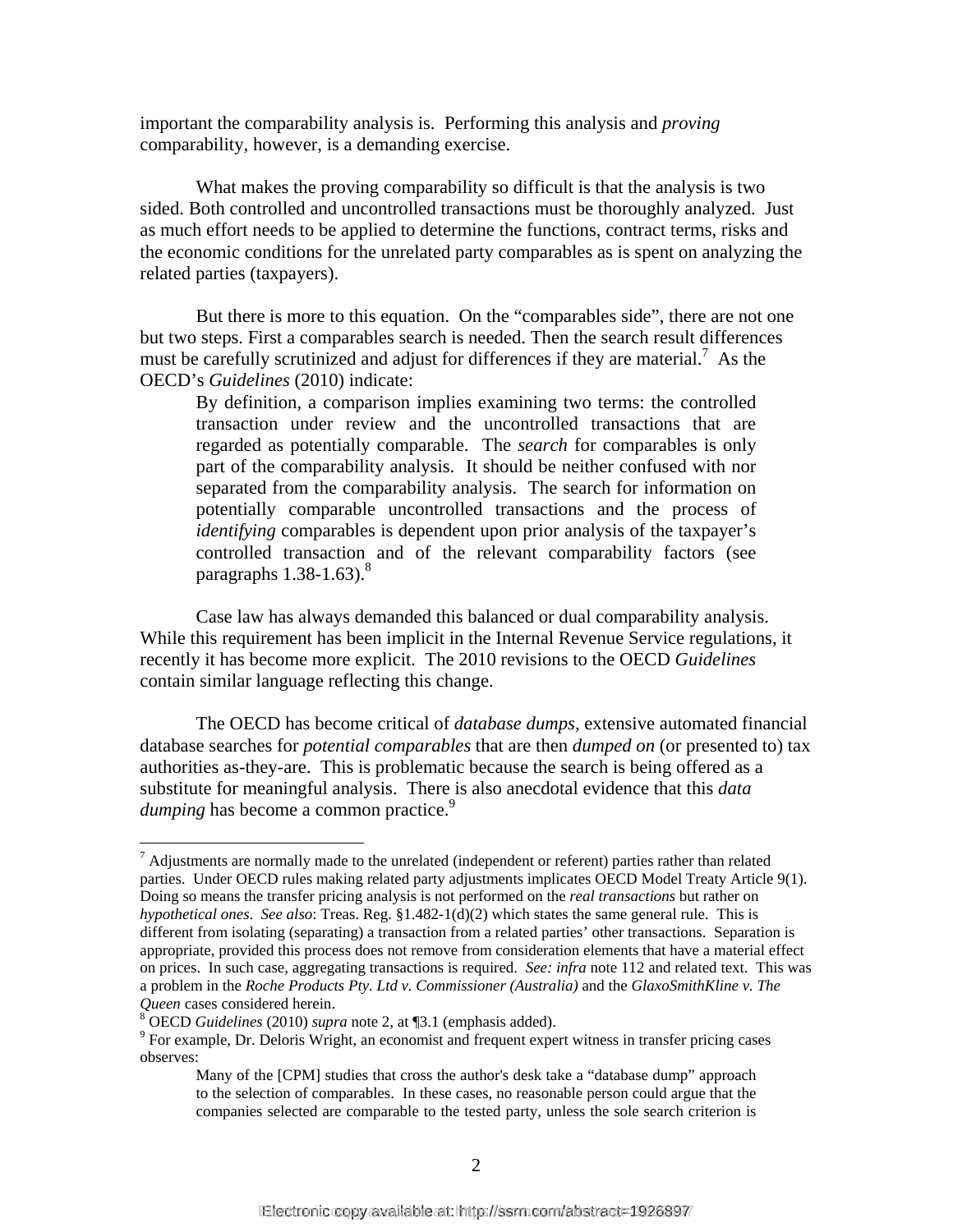important the comparability analysis is. Performing this analysis and *proving* comparability, however, is a demanding exercise.

What makes the proving comparability so difficult is that the analysis is two sided. Both controlled and uncontrolled transactions must be thoroughly analyzed. Just as much effort needs to be applied to determine the functions, contract terms, risks and the economic conditions for the unrelated party comparables as is spent on analyzing the related parties (taxpayers).

But there is more to this equation. On the "comparables side", there are not one but two steps. First a comparables search is needed. Then the search result differences must be carefully scrutinized and adjust for differences if they are material.<sup>7</sup> As the OECD's *Guidelines* (2010) indicate:

By definition, a comparison implies examining two terms: the controlled transaction under review and the uncontrolled transactions that are regarded as potentially comparable. The *search* for comparables is only part of the comparability analysis. It should be neither confused with nor separated from the comparability analysis. The search for information on potentially comparable uncontrolled transactions and the process of *identifying* comparables is dependent upon prior analysis of the taxpayer's controlled transaction and of the relevant comparability factors (see paragraphs  $1.38-1.63$ ).<sup>8</sup>

Case law has always demanded this balanced or dual comparability analysis. While this requirement has been implicit in the Internal Revenue Service regulations, it recently it has become more explicit. The 2010 revisions to the OECD *Guidelines* contain similar language reflecting this change.

The OECD has become critical of *database dumps,* extensive automated financial database searches for *potential comparables* that are then *dumped on* (or presented to) tax authorities as-they-are. This is problematic because the search is being offered as a substitute for meaningful analysis. There is also anecdotal evidence that this *data dumping* has become a common practice.<sup>9</sup>

 $<sup>7</sup>$  Adjustments are normally made to the unrelated (independent or referent) parties rather than related</sup> parties. Under OECD rules making related party adjustments implicates OECD Model Treaty Article 9(1). Doing so means the transfer pricing analysis is not performed on the *real transactions* but rather on *hypothetical ones*. *See also*: Treas. Reg. §1.482-1(d)(2) which states the same general rule. This is different from isolating (separating) a transaction from a related parties' other transactions. Separation is appropriate, provided this process does not remove from consideration elements that have a material effect on prices. In such case, aggregating transactions is required. *See: infra* note 112 and related text. This was a problem in the *Roche Products Pty. Ltd v. Commissioner (Australia)* and the *GlaxoSmithKline v. The Queen* cases considered herein. 8

 $\sqrt[8]{\text{OECD}}$  *Guidelines* (2010) *supra* note 2, at [3.1 (emphasis added).

<sup>&</sup>lt;sup>9</sup> For example, Dr. Deloris Wright, an economist and frequent expert witness in transfer pricing cases observes:

Many of the [CPM] studies that cross the author's desk take a "database dump" approach to the selection of comparables. In these cases, no reasonable person could argue that the companies selected are comparable to the tested party, unless the sole search criterion is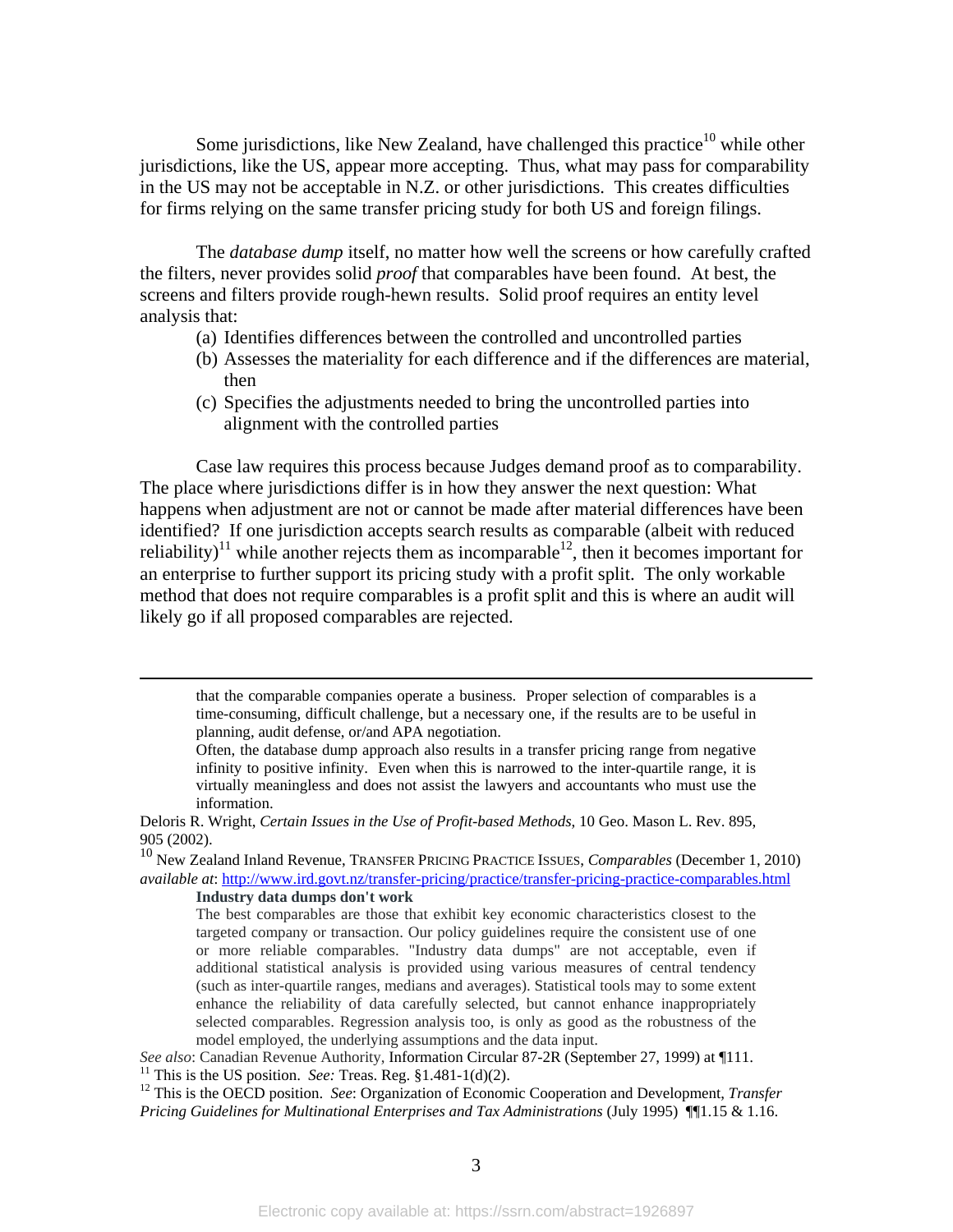Some jurisdictions, like New Zealand, have challenged this practice<sup>10</sup> while other jurisdictions, like the US, appear more accepting. Thus, what may pass for comparability in the US may not be acceptable in N.Z. or other jurisdictions. This creates difficulties for firms relying on the same transfer pricing study for both US and foreign filings.

The *database dump* itself, no matter how well the screens or how carefully crafted the filters, never provides solid *proof* that comparables have been found. At best, the screens and filters provide rough-hewn results. Solid proof requires an entity level analysis that:

- (a) Identifies differences between the controlled and uncontrolled parties
- (b) Assesses the materiality for each difference and if the differences are material, then
- (c) Specifies the adjustments needed to bring the uncontrolled parties into alignment with the controlled parties

Case law requires this process because Judges demand proof as to comparability. The place where jurisdictions differ is in how they answer the next question: What happens when adjustment are not or cannot be made after material differences have been identified? If one jurisdiction accepts search results as comparable (albeit with reduced reliability)<sup>11</sup> while another rejects them as incomparable<sup>12</sup>, then it becomes important for an enterprise to further support its pricing study with a profit split. The only workable method that does not require comparables is a profit split and this is where an audit will likely go if all proposed comparables are rejected.

 that the comparable companies operate a business. Proper selection of comparables is a time-consuming, difficult challenge, but a necessary one, if the results are to be useful in planning, audit defense, or/and APA negotiation.

10 New Zealand Inland Revenue, TRANSFER PRICING PRACTICE ISSUES, *Comparables* (December 1, 2010) *available at*: http://www.ird.govt.nz/transfer-pricing/practice/transfer-pricing-practice-comparables.html

**Industry data dumps don't work** 

The best comparables are those that exhibit key economic characteristics closest to the targeted company or transaction. Our policy guidelines require the consistent use of one or more reliable comparables. "Industry data dumps" are not acceptable, even if additional statistical analysis is provided using various measures of central tendency (such as inter-quartile ranges, medians and averages). Statistical tools may to some extent enhance the reliability of data carefully selected, but cannot enhance inappropriately selected comparables. Regression analysis too, is only as good as the robustness of the model employed, the underlying assumptions and the data input.<br>See also: Canadian Revenue Authority, Information Circular 87-2R (September 27, 1999) at ¶111.

<sup>11</sup> This is the US position. *See:* Treas. Reg. §1.481-1(d)(2).<br><sup>12</sup> This is the OECD position. *See:* Organization of Economic Cooperation and Development, *Transfer* 

*Pricing Guidelines for Multinational Enterprises and Tax Administrations* (July 1995) ¶¶1.15 & 1.16.

Often, the database dump approach also results in a transfer pricing range from negative infinity to positive infinity. Even when this is narrowed to the inter-quartile range, it is virtually meaningless and does not assist the lawyers and accountants who must use the information.

Deloris R. Wright, *Certain Issues in the Use of Profit-based Methods*, 10 Geo. Mason L. Rev. 895, 905 (2002).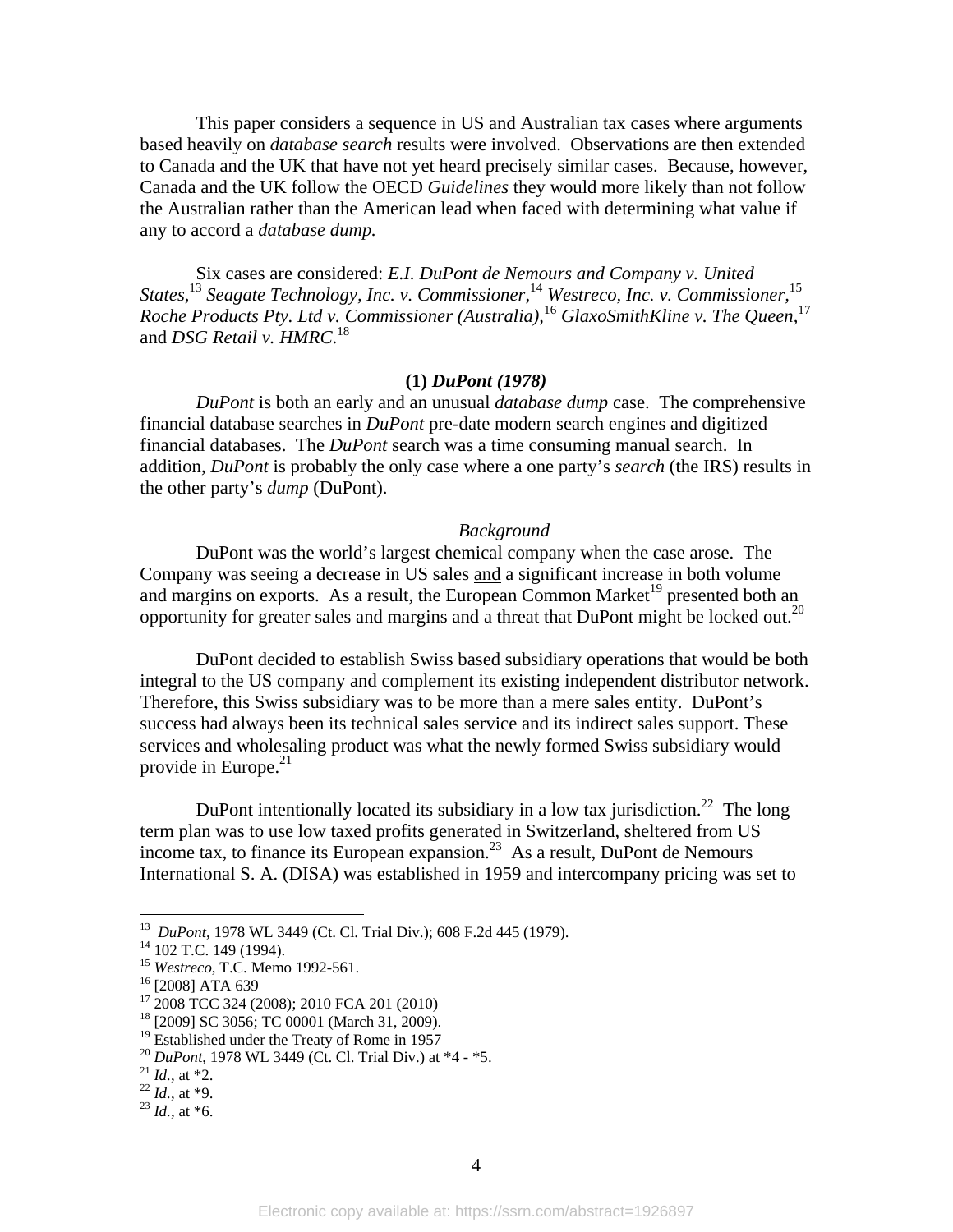This paper considers a sequence in US and Australian tax cases where arguments based heavily on *database search* results were involved. Observations are then extended to Canada and the UK that have not yet heard precisely similar cases. Because, however, Canada and the UK follow the OECD *Guidelines* they would more likely than not follow the Australian rather than the American lead when faced with determining what value if any to accord a *database dump.*

Six cases are considered: *E.I. DuPont de Nemours and Company v. United States*, <sup>13</sup> *Seagate Technology, Inc. v. Commissioner*, <sup>14</sup> *Westreco, Inc. v. Commissioner,*<sup>15</sup> *Roche Products Pty. Ltd v. Commissioner (Australia),*<sup>16</sup> *GlaxoSmithKline v. The Queen,*<sup>17</sup> and *DSG Retail v. HMRC*. 18

## **(1)** *DuPont (1978)*

*DuPont* is both an early and an unusual *database dump* case. The comprehensive financial database searches in *DuPont* pre-date modern search engines and digitized financial databases. The *DuPont* search was a time consuming manual search. In addition, *DuPont* is probably the only case where a one party's *search* (the IRS) results in the other party's *dump* (DuPont).

#### *Background*

DuPont was the world's largest chemical company when the case arose. The Company was seeing a decrease in US sales and a significant increase in both volume and margins on exports. As a result, the European Common Market<sup>19</sup> presented both an opportunity for greater sales and margins and a threat that DuPont might be locked out.20

DuPont decided to establish Swiss based subsidiary operations that would be both integral to the US company and complement its existing independent distributor network. Therefore, this Swiss subsidiary was to be more than a mere sales entity. DuPont's success had always been its technical sales service and its indirect sales support. These services and wholesaling product was what the newly formed Swiss subsidiary would provide in Europe. $21$ 

DuPont intentionally located its subsidiary in a low tax jurisdiction.<sup>22</sup> The long term plan was to use low taxed profits generated in Switzerland, sheltered from US income tax, to finance its European expansion.<sup>23</sup> As a result, DuPont de Nemours International S. A. (DISA) was established in 1959 and intercompany pricing was set to

<sup>&</sup>lt;sup>13</sup> *DuPont*, 1978 WL 3449 (Ct. Cl. Trial Div.); 608 F.2d 445 (1979).<br><sup>14</sup> 102 T.C. 149 (1994).

<sup>&</sup>lt;sup>15</sup> *Westreco*, T.C. Memo 1992-561.<br><sup>16</sup> [2008] ATA 639

<sup>&</sup>lt;sup>17</sup> 2008 TCC 324 (2008); 2010 FCA 201 (2010)

<sup>&</sup>lt;sup>18</sup> [2009] SC 3056; TC 00001 (March 31, 2009).

<sup>&</sup>lt;sup>19</sup> Established under the Treaty of Rome in 1957

<sup>&</sup>lt;sup>20</sup> *DuPont*, 1978 WL 3449 (Ct. Cl. Trial Div.) at \*4 - \*5.<br><sup>21</sup> *Id.*, at \*2.<br><sup>22</sup> *Id.*, at \*9.<br><sup>23</sup> *Id.*, at \*6.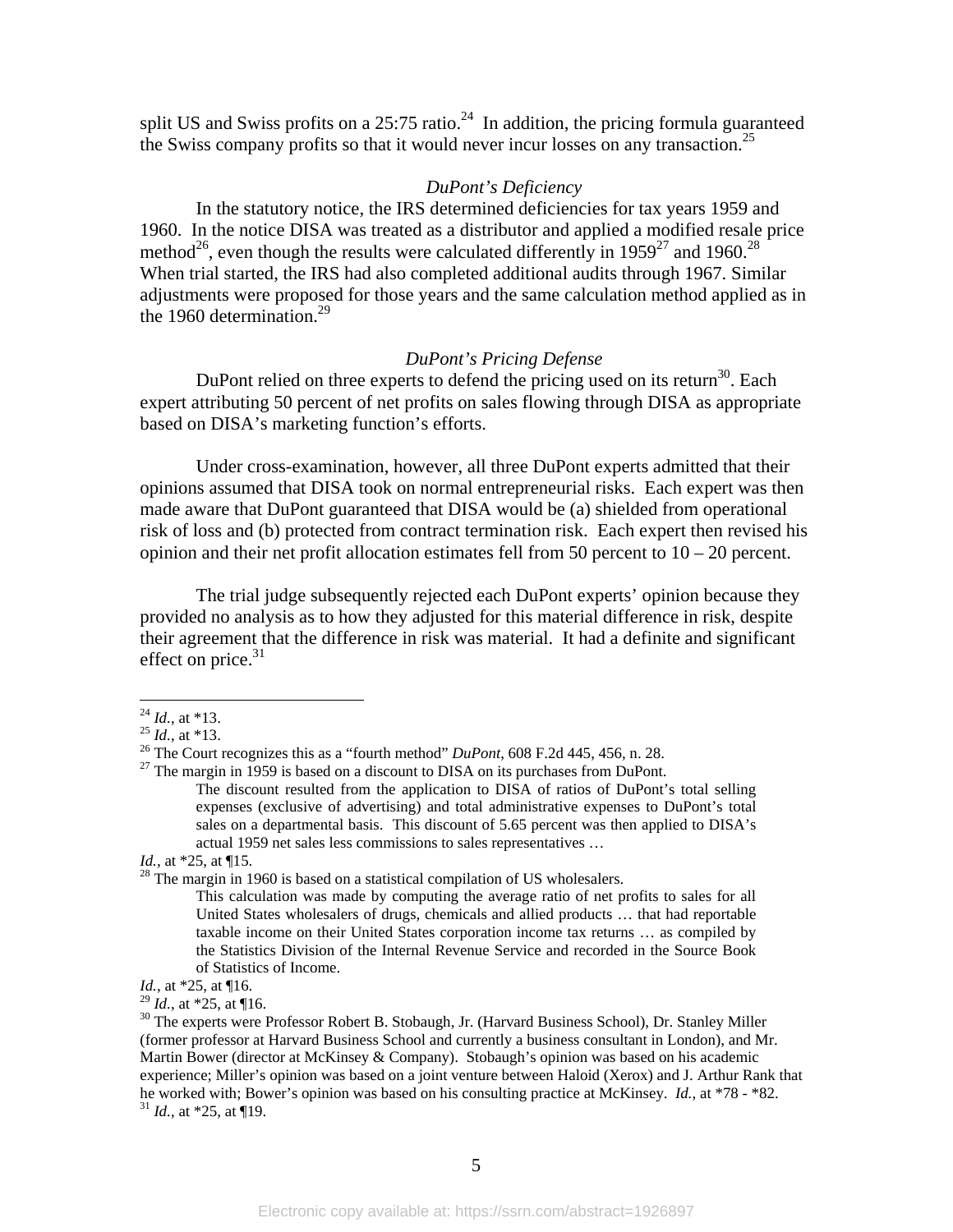split US and Swiss profits on a  $25:75$  ratio.<sup>24</sup> In addition, the pricing formula guaranteed the Swiss company profits so that it would never incur losses on any transaction.<sup>25</sup>

#### *DuPont's Deficiency*

In the statutory notice, the IRS determined deficiencies for tax years 1959 and 1960. In the notice DISA was treated as a distributor and applied a modified resale price method<sup>26</sup>, even though the results were calculated differently in 1959<sup>27</sup> and 1960.<sup>28</sup> When trial started, the IRS had also completed additional audits through 1967. Similar adjustments were proposed for those years and the same calculation method applied as in the 1960 determination.<sup>29</sup>

## *DuPont's Pricing Defense*

DuPont relied on three experts to defend the pricing used on its return<sup>30</sup>. Each expert attributing 50 percent of net profits on sales flowing through DISA as appropriate based on DISA's marketing function's efforts.

Under cross-examination, however, all three DuPont experts admitted that their opinions assumed that DISA took on normal entrepreneurial risks. Each expert was then made aware that DuPont guaranteed that DISA would be (a) shielded from operational risk of loss and (b) protected from contract termination risk. Each expert then revised his opinion and their net profit allocation estimates fell from 50 percent to  $10 - 20$  percent.

The trial judge subsequently rejected each DuPont experts' opinion because they provided no analysis as to how they adjusted for this material difference in risk, despite their agreement that the difference in risk was material. It had a definite and significant effect on price. $31$ 

<sup>28</sup> The margin in 1960 is based on a statistical compilation of US wholesalers.

This calculation was made by computing the average ratio of net profits to sales for all United States wholesalers of drugs, chemicals and allied products … that had reportable taxable income on their United States corporation income tax returns … as compiled by the Statistics Division of the Internal Revenue Service and recorded in the Source Book of Statistics of Income.

*Id.*, at \*25, at ¶16.<br><sup>29</sup> *Id.*, at \*25, at ¶16.

 $^{24}$  *Id.*, at \*13.

<sup>&</sup>lt;sup>25</sup> *Id.*, at \*13. <sup>26</sup> The Court recognizes this as a "fourth method" *DuPont*, 608 F.2d 445, 456, n. 28. <sup>27</sup> The margin in 1959 is based on a discount to DISA on its purchases from DuPont.

The discount resulted from the application to DISA of ratios of DuPont's total selling expenses (exclusive of advertising) and total administrative expenses to DuPont's total sales on a departmental basis. This discount of 5.65 percent was then applied to DISA's actual 1959 net sales less commissions to sales representatives ... *Id.*, at \*25, at ¶15.

<sup>&</sup>lt;sup>30</sup> The experts were Professor Robert B. Stobaugh, Jr. (Harvard Business School), Dr. Stanley Miller (former professor at Harvard Business School and currently a business consultant in London), and Mr. Martin Bower (director at McKinsey & Company). Stobaugh's opinion was based on his academic experience; Miller's opinion was based on a joint venture between Haloid (Xerox) and J. Arthur Rank that he worked with; Bower's opinion was based on his consulting practice at McKinsey. *Id.*, at \*78 - \*82. <sup>31</sup> *Id.*, at \*25, at ¶19.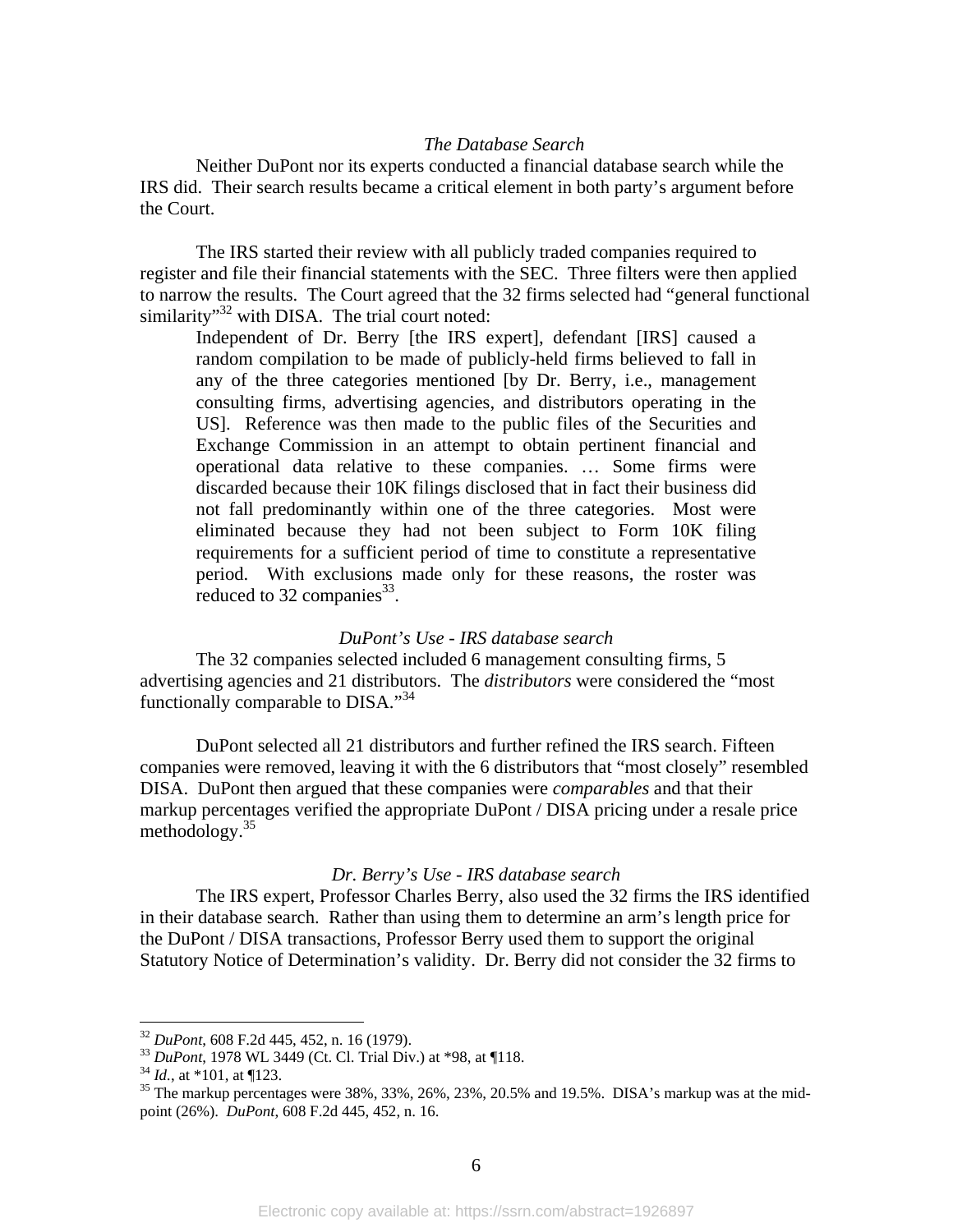## *The Database Search*

Neither DuPont nor its experts conducted a financial database search while the IRS did. Their search results became a critical element in both party's argument before the Court.

The IRS started their review with all publicly traded companies required to register and file their financial statements with the SEC. Three filters were then applied to narrow the results. The Court agreed that the 32 firms selected had "general functional similarity $^{32}$  with DISA. The trial court noted:

Independent of Dr. Berry [the IRS expert], defendant [IRS] caused a random compilation to be made of publicly-held firms believed to fall in any of the three categories mentioned [by Dr. Berry, i.e., management consulting firms, advertising agencies, and distributors operating in the US]. Reference was then made to the public files of the Securities and Exchange Commission in an attempt to obtain pertinent financial and operational data relative to these companies. … Some firms were discarded because their 10K filings disclosed that in fact their business did not fall predominantly within one of the three categories. Most were eliminated because they had not been subject to Form 10K filing requirements for a sufficient period of time to constitute a representative period. With exclusions made only for these reasons, the roster was reduced to 32 companies<sup>33</sup>.

#### *DuPont's Use - IRS database search*

The 32 companies selected included 6 management consulting firms, 5 advertising agencies and 21 distributors. The *distributors* were considered the "most functionally comparable to  $DISA$ .<sup>34</sup>

DuPont selected all 21 distributors and further refined the IRS search. Fifteen companies were removed, leaving it with the 6 distributors that "most closely" resembled DISA. DuPont then argued that these companies were *comparables* and that their markup percentages verified the appropriate DuPont / DISA pricing under a resale price methodology. $35$ 

#### *Dr. Berry's Use - IRS database search*

The IRS expert, Professor Charles Berry, also used the 32 firms the IRS identified in their database search. Rather than using them to determine an arm's length price for the DuPont / DISA transactions, Professor Berry used them to support the original Statutory Notice of Determination's validity. Dr. Berry did not consider the 32 firms to

<sup>&</sup>lt;sup>32</sup> *DuPont*, 608 F.2d 445, 452, n. 16 (1979).<br><sup>33</sup> *DuPont*, 1978 WL 3449 (Ct. Cl. Trial Div.) at \*98, at ¶118.<br><sup>34</sup> *Id.*, at \*101, at ¶123.<br><sup>35</sup> The markup percentages were 38%, 33%, 26%, 23%, 20.5% and 19.5%. DISA's point (26%). *DuPont*, 608 F.2d 445, 452, n. 16.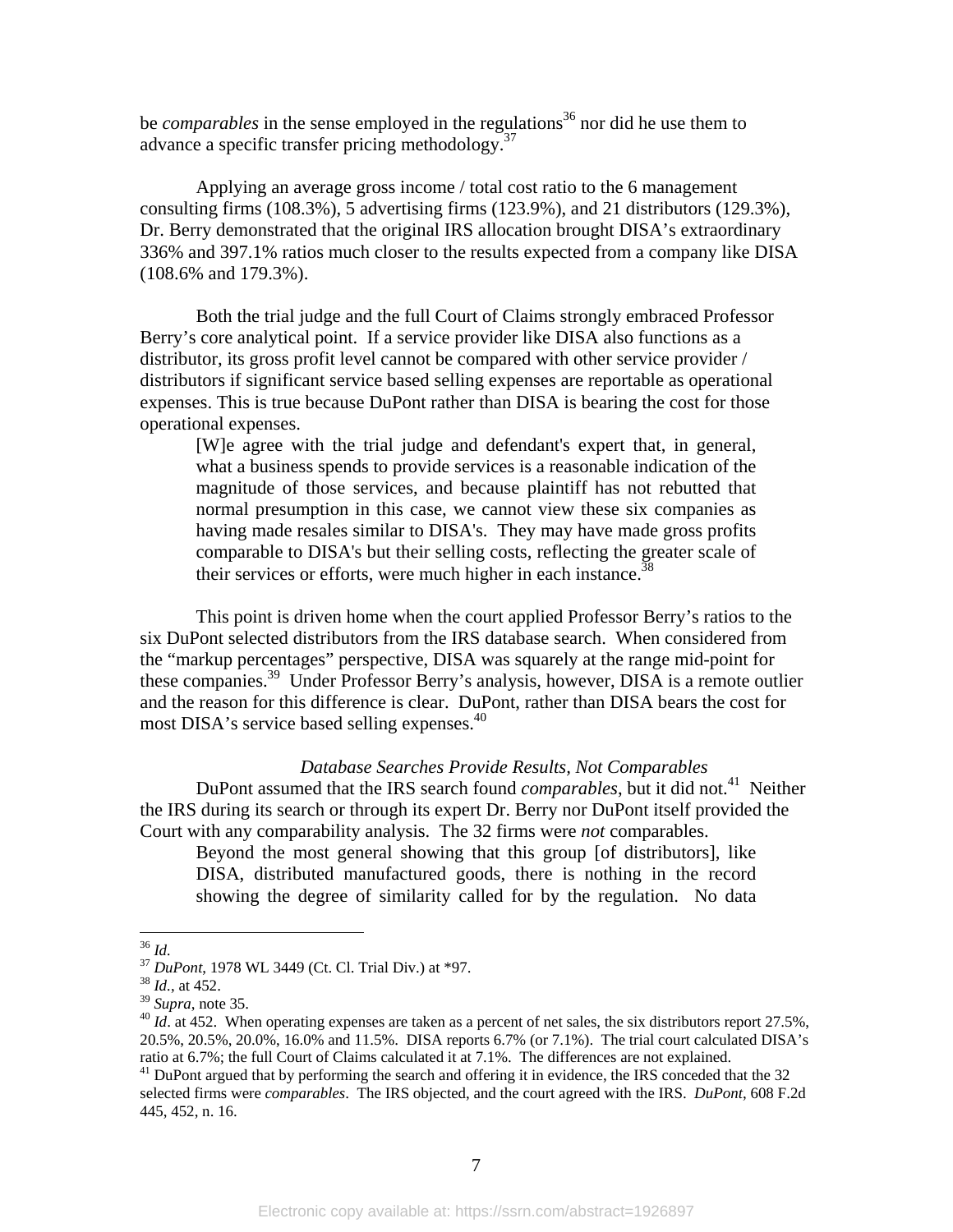be *comparables* in the sense employed in the regulations<sup>36</sup> nor did he use them to advance a specific transfer pricing methodology.<sup>37</sup>

Applying an average gross income / total cost ratio to the 6 management consulting firms (108.3%), 5 advertising firms (123.9%), and 21 distributors (129.3%), Dr. Berry demonstrated that the original IRS allocation brought DISA's extraordinary 336% and 397.1% ratios much closer to the results expected from a company like DISA (108.6% and 179.3%).

 Both the trial judge and the full Court of Claims strongly embraced Professor Berry's core analytical point. If a service provider like DISA also functions as a distributor, its gross profit level cannot be compared with other service provider / distributors if significant service based selling expenses are reportable as operational expenses. This is true because DuPont rather than DISA is bearing the cost for those operational expenses.

[W]e agree with the trial judge and defendant's expert that, in general, what a business spends to provide services is a reasonable indication of the magnitude of those services, and because plaintiff has not rebutted that normal presumption in this case, we cannot view these six companies as having made resales similar to DISA's. They may have made gross profits comparable to DISA's but their selling costs, reflecting the greater scale of their services or efforts, were much higher in each instance. $38$ 

 This point is driven home when the court applied Professor Berry's ratios to the six DuPont selected distributors from the IRS database search. When considered from the "markup percentages" perspective, DISA was squarely at the range mid-point for these companies.<sup>39</sup> Under Professor Berry's analysis, however, DISA is a remote outlier and the reason for this difference is clear. DuPont, rather than DISA bears the cost for most DISA's service based selling expenses.40

#### *Database Searches Provide Results, Not Comparables*

DuPont assumed that the IRS search found *comparables*, but it did not.<sup>41</sup> Neither the IRS during its search or through its expert Dr. Berry nor DuPont itself provided the Court with any comparability analysis. The 32 firms were *not* comparables.

Beyond the most general showing that this group [of distributors], like DISA, distributed manufactured goods, there is nothing in the record showing the degree of similarity called for by the regulation. No data

 $36$  Id.

<sup>36</sup> *Id.* <sup>37</sup> *DuPont*, 1978 WL 3449 (Ct. Cl. Trial Div.) at \*97. 38 *Id.*, at 452.

 $^{40}$  *Id.* at 452. When operating expenses are taken as a percent of net sales, the six distributors report 27.5%, 20.5%, 20.5%, 20.0%, 16.0% and 11.5%. DISA reports 6.7% (or 7.1%). The trial court calculated DISA's

 $41$  DuPont argued that by performing the search and offering it in evidence, the IRS conceded that the 32 selected firms were *comparables*. The IRS objected, and the court agreed with the IRS. *DuPont*, 608 F.2d 445, 452, n. 16.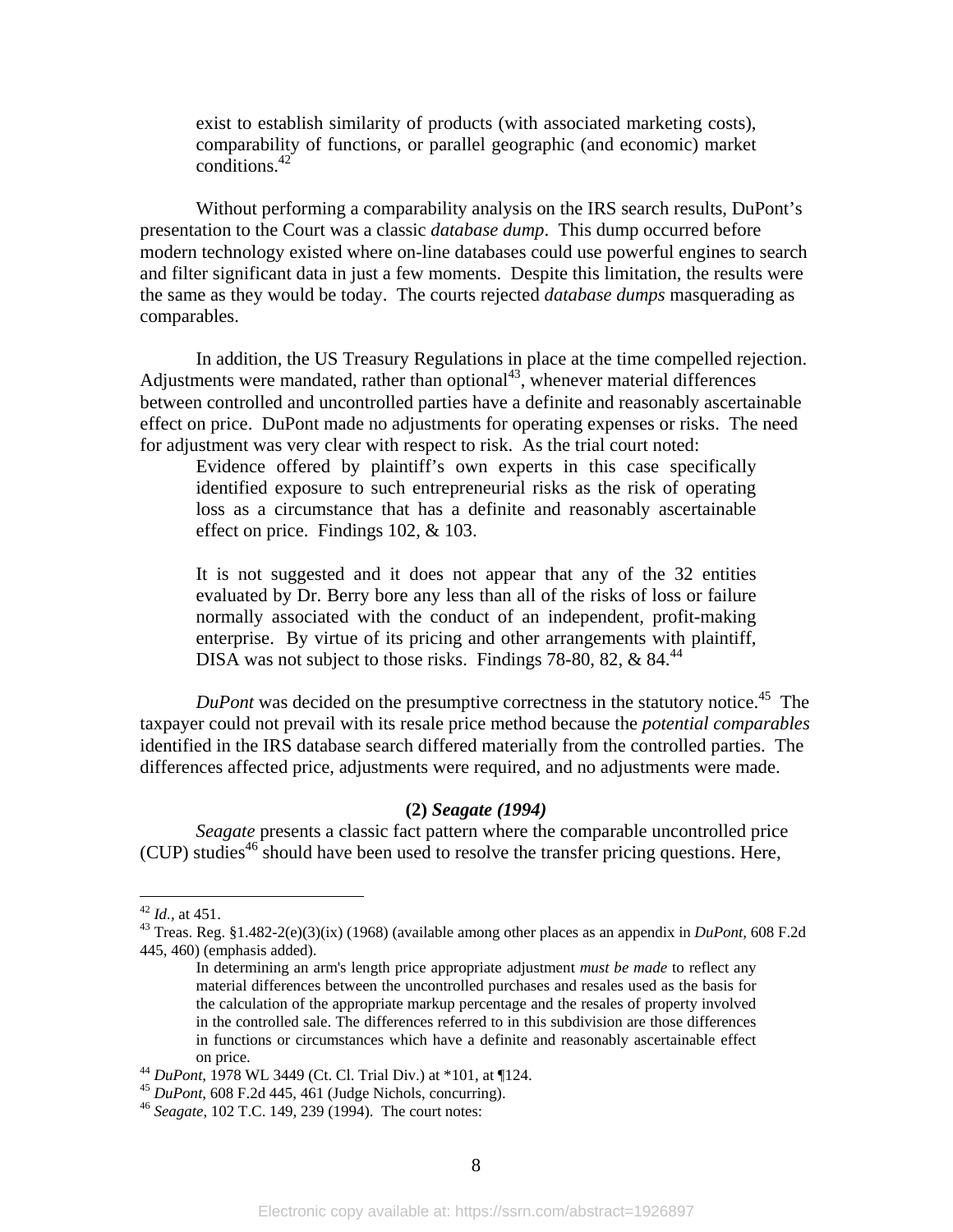exist to establish similarity of products (with associated marketing costs), comparability of functions, or parallel geographic (and economic) market conditions.42

 Without performing a comparability analysis on the IRS search results, DuPont's presentation to the Court was a classic *database dump*. This dump occurred before modern technology existed where on-line databases could use powerful engines to search and filter significant data in just a few moments. Despite this limitation, the results were the same as they would be today. The courts rejected *database dumps* masquerading as comparables.

In addition, the US Treasury Regulations in place at the time compelled rejection. Adjustments were mandated, rather than optional<sup>43</sup>, whenever material differences between controlled and uncontrolled parties have a definite and reasonably ascertainable effect on price. DuPont made no adjustments for operating expenses or risks. The need for adjustment was very clear with respect to risk. As the trial court noted:

Evidence offered by plaintiff's own experts in this case specifically identified exposure to such entrepreneurial risks as the risk of operating loss as a circumstance that has a definite and reasonably ascertainable effect on price. Findings 102, & 103.

It is not suggested and it does not appear that any of the 32 entities evaluated by Dr. Berry bore any less than all of the risks of loss or failure normally associated with the conduct of an independent, profit-making enterprise. By virtue of its pricing and other arrangements with plaintiff, DISA was not subject to those risks. Findings 78-80, 82,  $\&84.44$ 

*DuPont* was decided on the presumptive correctness in the statutory notice.<sup>45</sup> The taxpayer could not prevail with its resale price method because the *potential comparables* identified in the IRS database search differed materially from the controlled parties. The differences affected price, adjustments were required, and no adjustments were made.

## **(2)** *Seagate (1994)*

*Seagate* presents a classic fact pattern where the comparable uncontrolled price  $(CUP)$  studies<sup>46</sup> should have been used to resolve the transfer pricing questions. Here,

 $42$  *Id.*, at 451.

<sup>&</sup>lt;sup>43</sup> Treas. Reg. §1.482-2(e)(3)(ix) (1968) (available among other places as an appendix in *DuPont*, 608 F.2d 445, 460) (emphasis added).

In determining an arm's length price appropriate adjustment *must be made* to reflect any material differences between the uncontrolled purchases and resales used as the basis for the calculation of the appropriate markup percentage and the resales of property involved in the controlled sale. The differences referred to in this subdivision are those differences in functions or circumstances which have a definite and reasonably ascertainable effect on price. 44 *DuPont*, 1978 WL 3449 (Ct. Cl. Trial Div.) at \*101, at ¶124. 45 *DuPont*, 608 F.2d 445, 461 (Judge Nichols, concurring). 46 *Seagate*, 102 T.C. 149, 239 (1994). The court notes: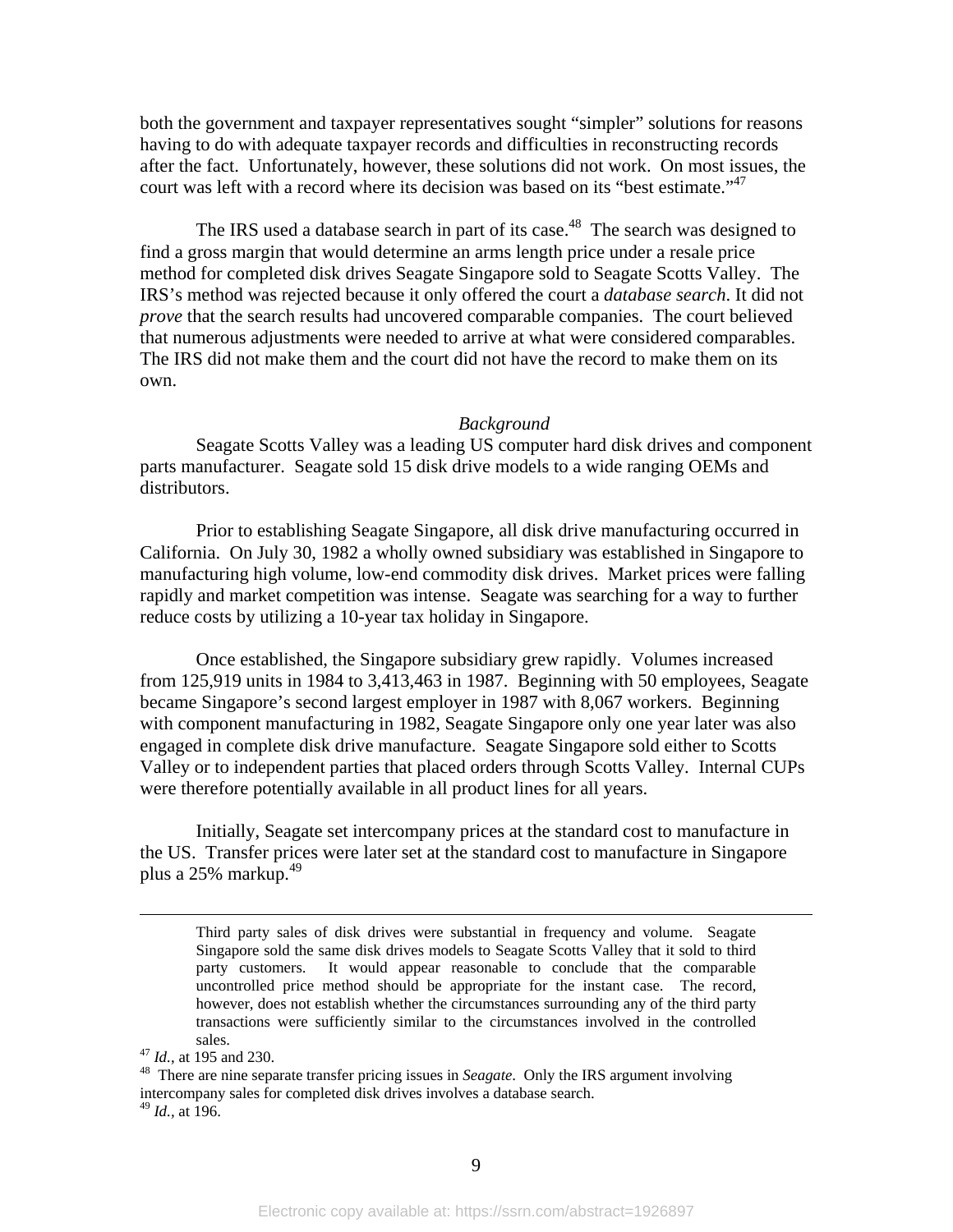both the government and taxpayer representatives sought "simpler" solutions for reasons having to do with adequate taxpayer records and difficulties in reconstructing records after the fact. Unfortunately, however, these solutions did not work. On most issues, the court was left with a record where its decision was based on its "best estimate."<sup>47</sup>

The IRS used a database search in part of its case.<sup>48</sup> The search was designed to find a gross margin that would determine an arms length price under a resale price method for completed disk drives Seagate Singapore sold to Seagate Scotts Valley. The IRS's method was rejected because it only offered the court a *database search*. It did not *prove* that the search results had uncovered comparable companies. The court believed that numerous adjustments were needed to arrive at what were considered comparables. The IRS did not make them and the court did not have the record to make them on its own.

#### *Background*

Seagate Scotts Valley was a leading US computer hard disk drives and component parts manufacturer. Seagate sold 15 disk drive models to a wide ranging OEMs and distributors.

Prior to establishing Seagate Singapore, all disk drive manufacturing occurred in California. On July 30, 1982 a wholly owned subsidiary was established in Singapore to manufacturing high volume, low-end commodity disk drives. Market prices were falling rapidly and market competition was intense. Seagate was searching for a way to further reduce costs by utilizing a 10-year tax holiday in Singapore.

Once established, the Singapore subsidiary grew rapidly. Volumes increased from 125,919 units in 1984 to 3,413,463 in 1987. Beginning with 50 employees, Seagate became Singapore's second largest employer in 1987 with 8,067 workers. Beginning with component manufacturing in 1982, Seagate Singapore only one year later was also engaged in complete disk drive manufacture. Seagate Singapore sold either to Scotts Valley or to independent parties that placed orders through Scotts Valley. Internal CUPs were therefore potentially available in all product lines for all years.

 Initially, Seagate set intercompany prices at the standard cost to manufacture in the US. Transfer prices were later set at the standard cost to manufacture in Singapore plus a 25% markup.<sup>49</sup>

 Third party sales of disk drives were substantial in frequency and volume. Seagate Singapore sold the same disk drives models to Seagate Scotts Valley that it sold to third party customers. It would appear reasonable to conclude that the comparable uncontrolled price method should be appropriate for the instant case. The record, however, does not establish whether the circumstances surrounding any of the third party transactions were sufficiently similar to the circumstances involved in the controlled sales.<br><sup>47</sup> *Id.*, at 195 and 230.<br><sup>48</sup> There are nine separate transfer pricing issues in *Seagate*. Only the IRS argument involving

intercompany sales for completed disk drives involves a database search. <sup>49</sup> *Id.,* at 196.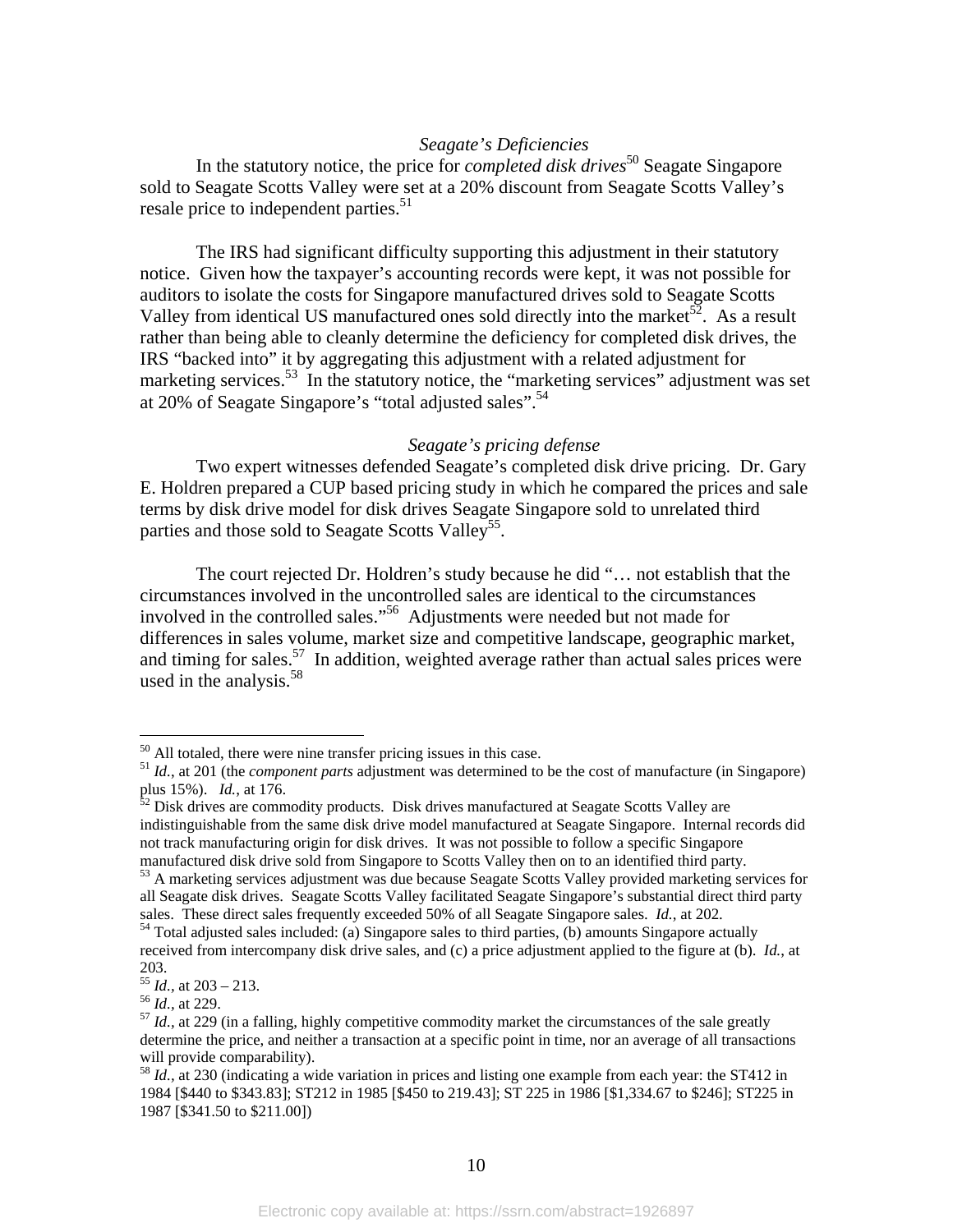## *Seagate's Deficiencies*

In the statutory notice, the price for *completed disk drives*<sup>50</sup> Seagate Singapore sold to Seagate Scotts Valley were set at a 20% discount from Seagate Scotts Valley's resale price to independent parties.<sup>51</sup>

The IRS had significant difficulty supporting this adjustment in their statutory notice. Given how the taxpayer's accounting records were kept, it was not possible for auditors to isolate the costs for Singapore manufactured drives sold to Seagate Scotts Valley from identical US manufactured ones sold directly into the market<sup>52</sup>. As a result rather than being able to cleanly determine the deficiency for completed disk drives, the IRS "backed into" it by aggregating this adjustment with a related adjustment for marketing services.<sup>53</sup> In the statutory notice, the "marketing services" adjustment was set at 20% of Seagate Singapore's "total adjusted sales".<sup>54</sup>

#### *Seagate's pricing defense*

Two expert witnesses defended Seagate's completed disk drive pricing. Dr. Gary E. Holdren prepared a CUP based pricing study in which he compared the prices and sale terms by disk drive model for disk drives Seagate Singapore sold to unrelated third parties and those sold to Seagate Scotts Valley<sup>55</sup>.

The court rejected Dr. Holdren's study because he did "… not establish that the circumstances involved in the uncontrolled sales are identical to the circumstances involved in the controlled sales."56 Adjustments were needed but not made for differences in sales volume, market size and competitive landscape, geographic market, and timing for sales.<sup>57</sup> In addition, weighted average rather than actual sales prices were used in the analysis. $58$ 

1

<sup>&</sup>lt;sup>50</sup> All totaled, there were nine transfer pricing issues in this case.<br><sup>51</sup> *Id.*, at 201 (the *component parts* adjustment was determined to be the cost of manufacture (in Singapore)<br>plus 15%). *Id.*, at 176.

 $\rm$ <sup>2</sup> Disk drives are commodity products. Disk drives manufactured at Seagate Scotts Valley are indistinguishable from the same disk drive model manufactured at Seagate Singapore. Internal records did not track manufacturing origin for disk drives. It was not possible to follow a specific Singapore manufactured disk drive sold from Singapore to Scotts Valley then on to an identified third party.

<sup>53</sup> A marketing services adjustment was due because Seagate Scotts Valley provided marketing services for all Seagate disk drives. Seagate Scotts Valley facilitated Seagate Singapore's substantial direct third party sales. These direct sales frequently exceeded 50% of all Seagate Singapore sales. *Id.*, at 202. <sup>54</sup> Total adjusted sales included: (a) Singapore sales to third parties, (b) amounts Singapore actually

received from intercompany disk drive sales, and (c) a price adjustment applied to the figure at (b). *Id.*, at 203.<br><sup>55</sup> *Id.*, at 203 – 213.<br><sup>56</sup> *Id.*, at 229.

<sup>&</sup>lt;sup>57</sup> *Id.*, at 229 (in a falling, highly competitive commodity market the circumstances of the sale greatly determine the price, and neither a transaction at a specific point in time, nor an average of all transactions will provide comparability).

<sup>58</sup> *Id.,* at 230 (indicating a wide variation in prices and listing one example from each year: the ST412 in 1984 [\$440 to \$343.83]; ST212 in 1985 [\$450 to 219.43]; ST 225 in 1986 [\$1,334.67 to \$246]; ST225 in 1987 [\$341.50 to \$211.00])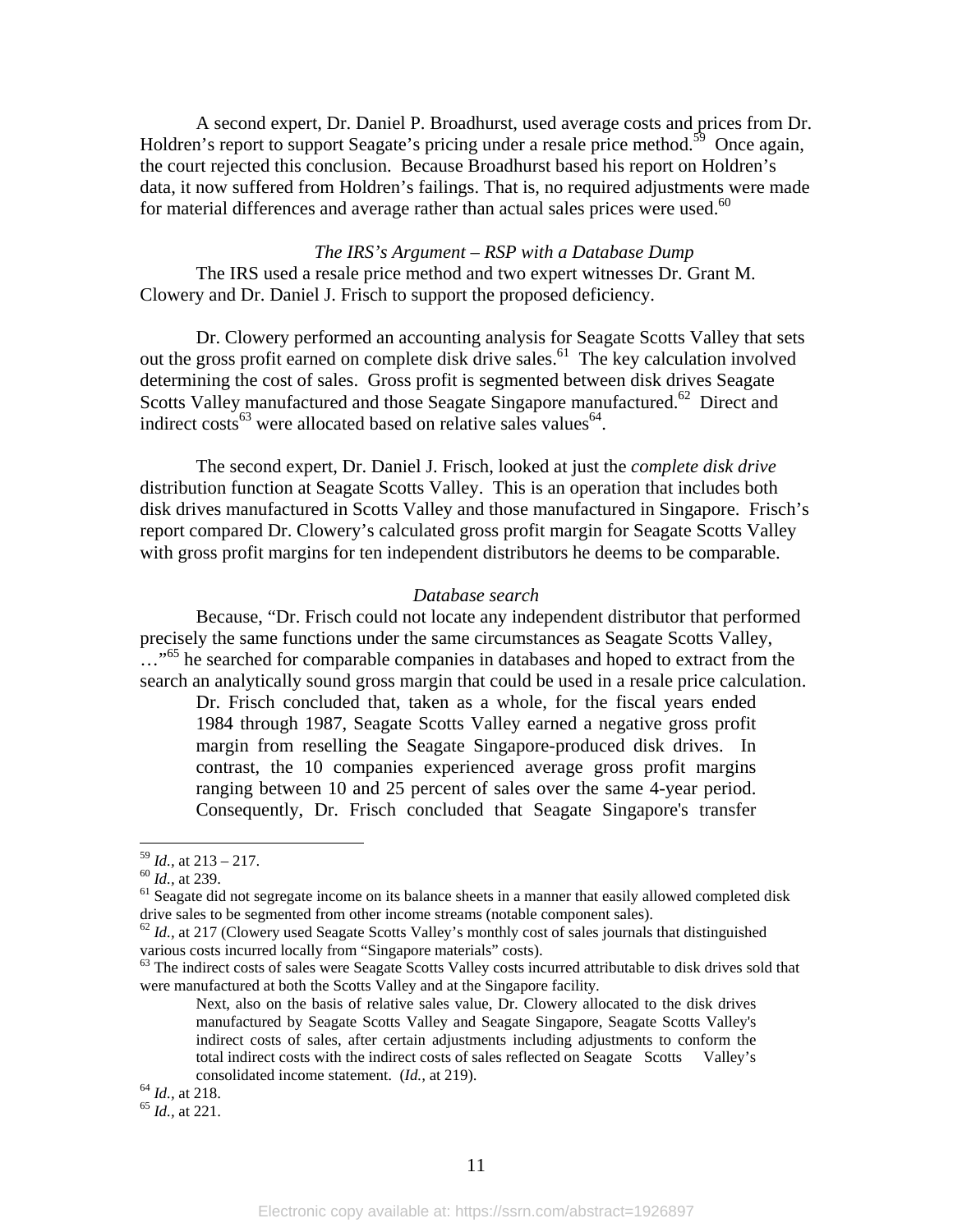A second expert, Dr. Daniel P. Broadhurst, used average costs and prices from Dr. Holdren's report to support Seagate's pricing under a resale price method.<sup>59</sup> Once again, the court rejected this conclusion. Because Broadhurst based his report on Holdren's data, it now suffered from Holdren's failings. That is, no required adjustments were made for material differences and average rather than actual sales prices were used.<sup>60</sup>

## *The IRS's Argument – RSP with a Database Dump*

The IRS used a resale price method and two expert witnesses Dr. Grant M. Clowery and Dr. Daniel J. Frisch to support the proposed deficiency.

Dr. Clowery performed an accounting analysis for Seagate Scotts Valley that sets out the gross profit earned on complete disk drive sales.<sup>61</sup> The key calculation involved determining the cost of sales. Gross profit is segmented between disk drives Seagate Scotts Valley manufactured and those Seagate Singapore manufactured.<sup>62</sup> Direct and indirect costs<sup>63</sup> were allocated based on relative sales values<sup>64</sup>.

The second expert, Dr. Daniel J. Frisch, looked at just the *complete disk drive* distribution function at Seagate Scotts Valley. This is an operation that includes both disk drives manufactured in Scotts Valley and those manufactured in Singapore. Frisch's report compared Dr. Clowery's calculated gross profit margin for Seagate Scotts Valley with gross profit margins for ten independent distributors he deems to be comparable.

#### *Database search*

Because, "Dr. Frisch could not locate any independent distributor that performed precisely the same functions under the same circumstances as Seagate Scotts Valley, ..."<sup>65</sup> he searched for comparable companies in databases and hoped to extract from the search an analytically sound gross margin that could be used in a resale price calculation.

Dr. Frisch concluded that, taken as a whole, for the fiscal years ended 1984 through 1987, Seagate Scotts Valley earned a negative gross profit margin from reselling the Seagate Singapore-produced disk drives. In contrast, the 10 companies experienced average gross profit margins ranging between 10 and 25 percent of sales over the same 4-year period. Consequently, Dr. Frisch concluded that Seagate Singapore's transfer

 $^{59}$  *Id.*, at 213 – 217.

 $^{60}$  *Id.*, at 239. <sup>61</sup> Seagate did not segregate income on its balance sheets in a manner that easily allowed completed disk drive sales to be segmented from other income streams (notable component sales).<br><sup>62</sup> *Id.*, at 217 (Clowery used Seagate Scotts Valley's monthly cost of sales journals that distinguished

various costs incurred locally from "Singapore materials" costs).

<sup>&</sup>lt;sup>63</sup> The indirect costs of sales were Seagate Scotts Valley costs incurred attributable to disk drives sold that were manufactured at both the Scotts Valley and at the Singapore facility.

Next, also on the basis of relative sales value, Dr. Clowery allocated to the disk drives manufactured by Seagate Scotts Valley and Seagate Singapore, Seagate Scotts Valley's indirect costs of sales, after certain adjustments including adjustments to conform the total indirect costs with the indirect costs of sales reflected on Seagate Scotts Valley's consolidated income statement. (*Id.*, at 219). <sup>64</sup> *Id.*, at 218. <sup>65</sup> *Id.*, at 221.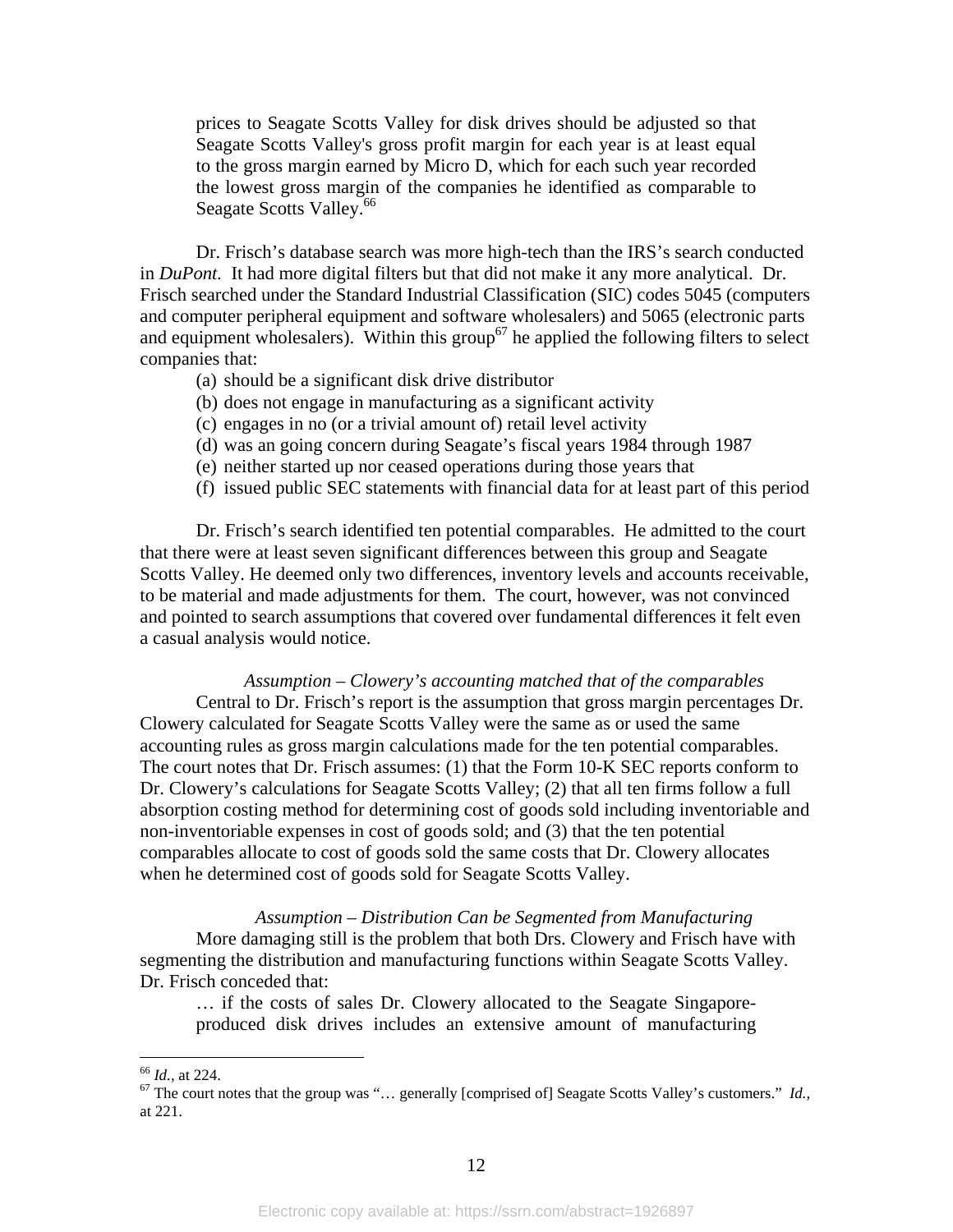prices to Seagate Scotts Valley for disk drives should be adjusted so that Seagate Scotts Valley's gross profit margin for each year is at least equal to the gross margin earned by Micro D, which for each such year recorded the lowest gross margin of the companies he identified as comparable to Seagate Scotts Valley.<sup>66</sup>

Dr. Frisch's database search was more high-tech than the IRS's search conducted in *DuPont.* It had more digital filters but that did not make it any more analytical. Dr. Frisch searched under the Standard Industrial Classification (SIC) codes 5045 (computers and computer peripheral equipment and software wholesalers) and 5065 (electronic parts and equipment wholesalers). Within this group<sup>67</sup> he applied the following filters to select companies that:

- (a) should be a significant disk drive distributor
- (b) does not engage in manufacturing as a significant activity
- (c) engages in no (or a trivial amount of) retail level activity
- (d) was an going concern during Seagate's fiscal years 1984 through 1987
- (e) neither started up nor ceased operations during those years that
- (f) issued public SEC statements with financial data for at least part of this period

Dr. Frisch's search identified ten potential comparables. He admitted to the court that there were at least seven significant differences between this group and Seagate Scotts Valley. He deemed only two differences, inventory levels and accounts receivable, to be material and made adjustments for them. The court, however, was not convinced and pointed to search assumptions that covered over fundamental differences it felt even a casual analysis would notice.

*Assumption – Clowery's accounting matched that of the comparables*  Central to Dr. Frisch's report is the assumption that gross margin percentages Dr. Clowery calculated for Seagate Scotts Valley were the same as or used the same accounting rules as gross margin calculations made for the ten potential comparables. The court notes that Dr. Frisch assumes: (1) that the Form 10-K SEC reports conform to Dr. Clowery's calculations for Seagate Scotts Valley; (2) that all ten firms follow a full absorption costing method for determining cost of goods sold including inventoriable and non-inventoriable expenses in cost of goods sold; and (3) that the ten potential comparables allocate to cost of goods sold the same costs that Dr. Clowery allocates when he determined cost of goods sold for Seagate Scotts Valley.

*Assumption – Distribution Can be Segmented from Manufacturing*  More damaging still is the problem that both Drs. Clowery and Frisch have with segmenting the distribution and manufacturing functions within Seagate Scotts Valley. Dr. Frisch conceded that:

… if the costs of sales Dr. Clowery allocated to the Seagate Singaporeproduced disk drives includes an extensive amount of manufacturing

<sup>66</sup> *Id.,* at 224. 67 The court notes that the group was "… generally [comprised of] Seagate Scotts Valley's customers." *Id.,* at 221.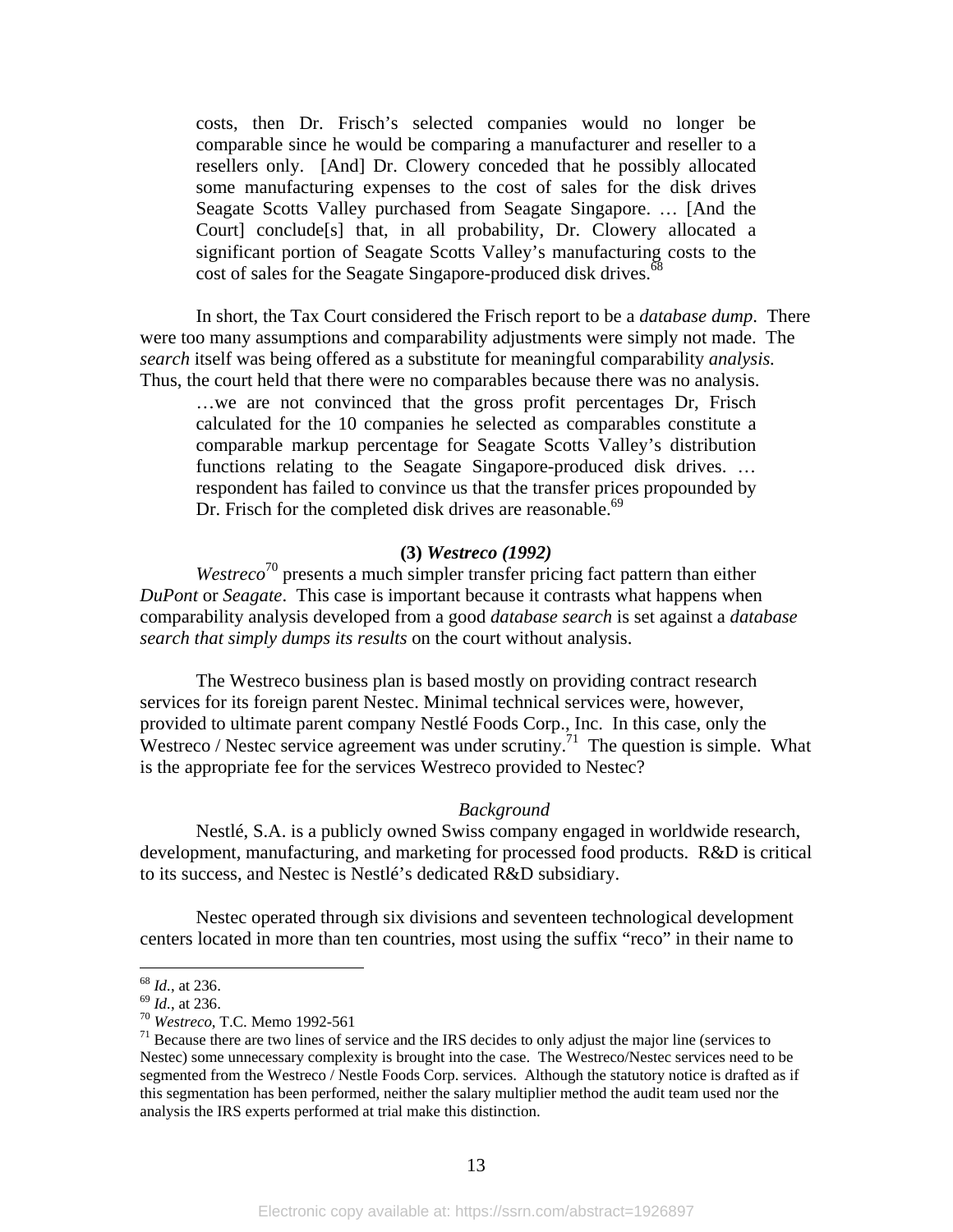costs, then Dr. Frisch's selected companies would no longer be comparable since he would be comparing a manufacturer and reseller to a resellers only. [And] Dr. Clowery conceded that he possibly allocated some manufacturing expenses to the cost of sales for the disk drives Seagate Scotts Valley purchased from Seagate Singapore. … [And the Court] conclude[s] that, in all probability, Dr. Clowery allocated a significant portion of Seagate Scotts Valley's manufacturing costs to the cost of sales for the Seagate Singapore-produced disk drives.<sup>68</sup>

In short, the Tax Court considered the Frisch report to be a *database dump*. There were too many assumptions and comparability adjustments were simply not made. The *search* itself was being offered as a substitute for meaningful comparability *analysis.* Thus, the court held that there were no comparables because there was no analysis.

…we are not convinced that the gross profit percentages Dr, Frisch calculated for the 10 companies he selected as comparables constitute a comparable markup percentage for Seagate Scotts Valley's distribution functions relating to the Seagate Singapore-produced disk drives. ... respondent has failed to convince us that the transfer prices propounded by Dr. Frisch for the completed disk drives are reasonable.<sup>69</sup>

#### **(3)** *Westreco (1992)*

*Westreco*<sup>70</sup> presents a much simpler transfer pricing fact pattern than either *DuPont* or *Seagate*. This case is important because it contrasts what happens when comparability analysis developed from a good *database search* is set against a *database search that simply dumps its results* on the court without analysis.

The Westreco business plan is based mostly on providing contract research services for its foreign parent Nestec. Minimal technical services were, however, provided to ultimate parent company Nestlé Foods Corp., Inc. In this case, only the Westreco / Nestec service agreement was under scrutiny.<sup>71</sup> The question is simple. What is the appropriate fee for the services Westreco provided to Nestec?

### *Background*

Nestlé, S.A. is a publicly owned Swiss company engaged in worldwide research, development, manufacturing, and marketing for processed food products. R&D is critical to its success, and Nestec is Nestlé's dedicated R&D subsidiary.

Nestec operated through six divisions and seventeen technological development centers located in more than ten countries, most using the suffix "reco" in their name to

<sup>&</sup>lt;sup>68</sup> *Id.*, at 236.<br><sup>69</sup> *Id.*, at 236.<br><sup>70</sup> *Westreco*, T.C. Memo 1992-561<br><sup>71</sup> Because there are two lines of service and the IRS decides to only adjust the major line (services to Nestec) some unnecessary complexity is brought into the case. The Westreco/Nestec services need to be segmented from the Westreco / Nestle Foods Corp. services. Although the statutory notice is drafted as if this segmentation has been performed, neither the salary multiplier method the audit team used nor the analysis the IRS experts performed at trial make this distinction.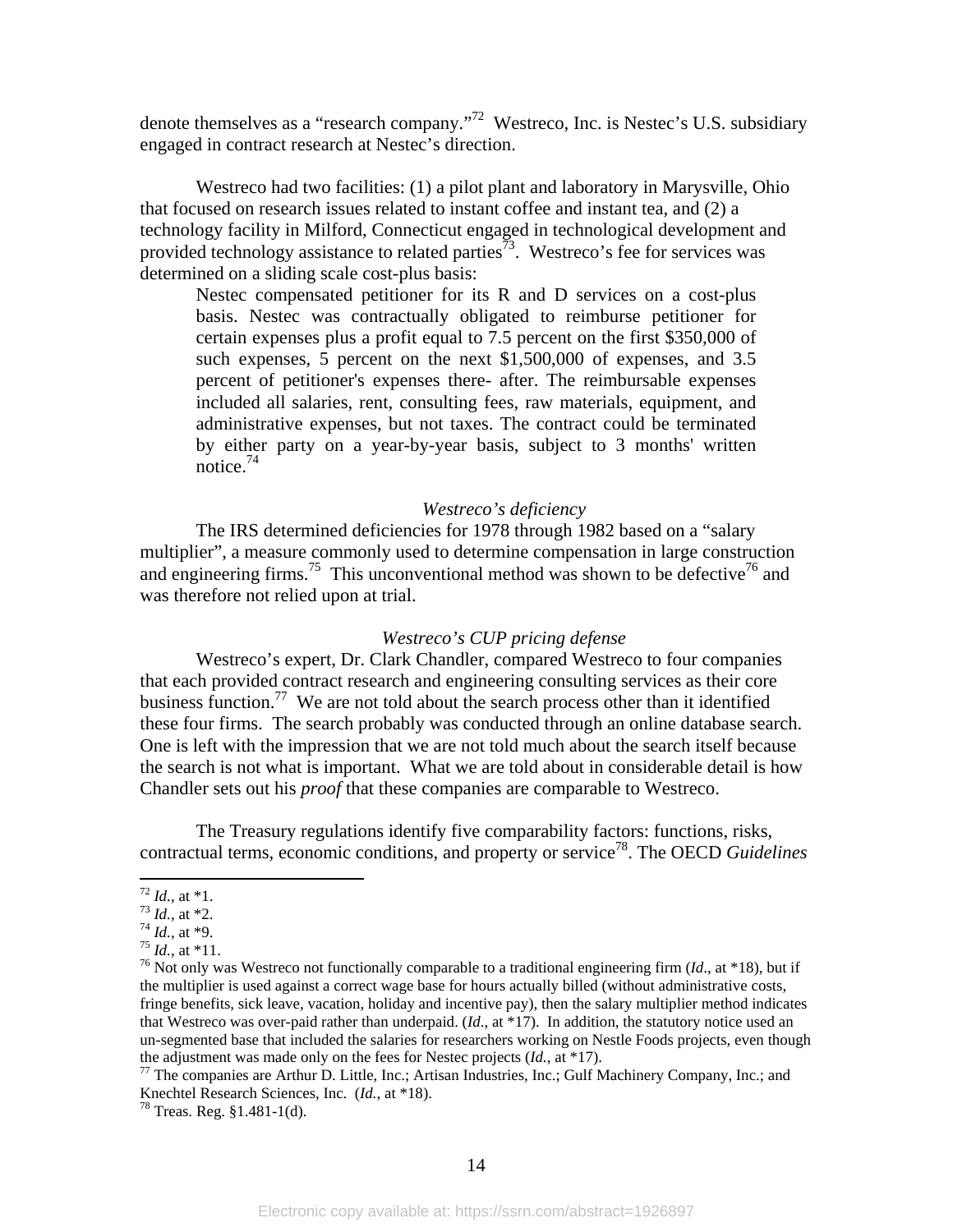denote themselves as a "research company."<sup>72</sup> Westreco, Inc. is Nestec's U.S. subsidiary engaged in contract research at Nestec's direction.

Westreco had two facilities: (1) a pilot plant and laboratory in Marysville, Ohio that focused on research issues related to instant coffee and instant tea, and (2) a technology facility in Milford, Connecticut engaged in technological development and provided technology assistance to related parties<sup>73</sup>. Westreco's fee for services was determined on a sliding scale cost-plus basis:

Nestec compensated petitioner for its R and D services on a cost-plus basis. Nestec was contractually obligated to reimburse petitioner for certain expenses plus a profit equal to 7.5 percent on the first \$350,000 of such expenses, 5 percent on the next \$1,500,000 of expenses, and 3.5 percent of petitioner's expenses there- after. The reimbursable expenses included all salaries, rent, consulting fees, raw materials, equipment, and administrative expenses, but not taxes. The contract could be terminated by either party on a year-by-year basis, subject to 3 months' written notice.74

#### *Westreco's deficiency*

The IRS determined deficiencies for 1978 through 1982 based on a "salary multiplier", a measure commonly used to determine compensation in large construction and engineering firms.<sup>75</sup> This unconventional method was shown to be defective<sup>76</sup> and was therefore not relied upon at trial.

### *Westreco's CUP pricing defense*

Westreco's expert, Dr. Clark Chandler, compared Westreco to four companies that each provided contract research and engineering consulting services as their core business function.<sup>77</sup> We are not told about the search process other than it identified these four firms. The search probably was conducted through an online database search. One is left with the impression that we are not told much about the search itself because the search is not what is important. What we are told about in considerable detail is how Chandler sets out his *proof* that these companies are comparable to Westreco.

The Treasury regulations identify five comparability factors: functions, risks, contractual terms, economic conditions, and property or service78. The OECD *Guidelines*

 $^{72}$  *Id.*, at \*1.

<sup>&</sup>lt;sup>73</sup> *Id.*, at \*2.<br><sup>74</sup> *Id.*, at \*9.<br><sup>75</sup> *Id.*, at \*11.<br><sup>75</sup> Not only was Westreco not functionally comparable to a traditional engineering firm (*Id.*, at \*18), but if the multiplier is used against a correct wage base for hours actually billed (without administrative costs, fringe benefits, sick leave, vacation, holiday and incentive pay), then the salary multiplier method indicates that Westreco was over-paid rather than underpaid. (*Id*., at \*17). In addition, the statutory notice used an un-segmented base that included the salaries for researchers working on Nestle Foods projects, even though the adjustment was made only on the fees for Nestec projects  $(id, \text{at} * 17)$ .

<sup>&</sup>lt;sup>77</sup> The companies are Arthur D. Little, Inc.; Artisan Industries, Inc.; Gulf Machinery Company, Inc.; and Knechtel Research Sciences, Inc. (*Id.*, at \*18). <sup>78</sup> Treas. Reg. §1.481-1(d).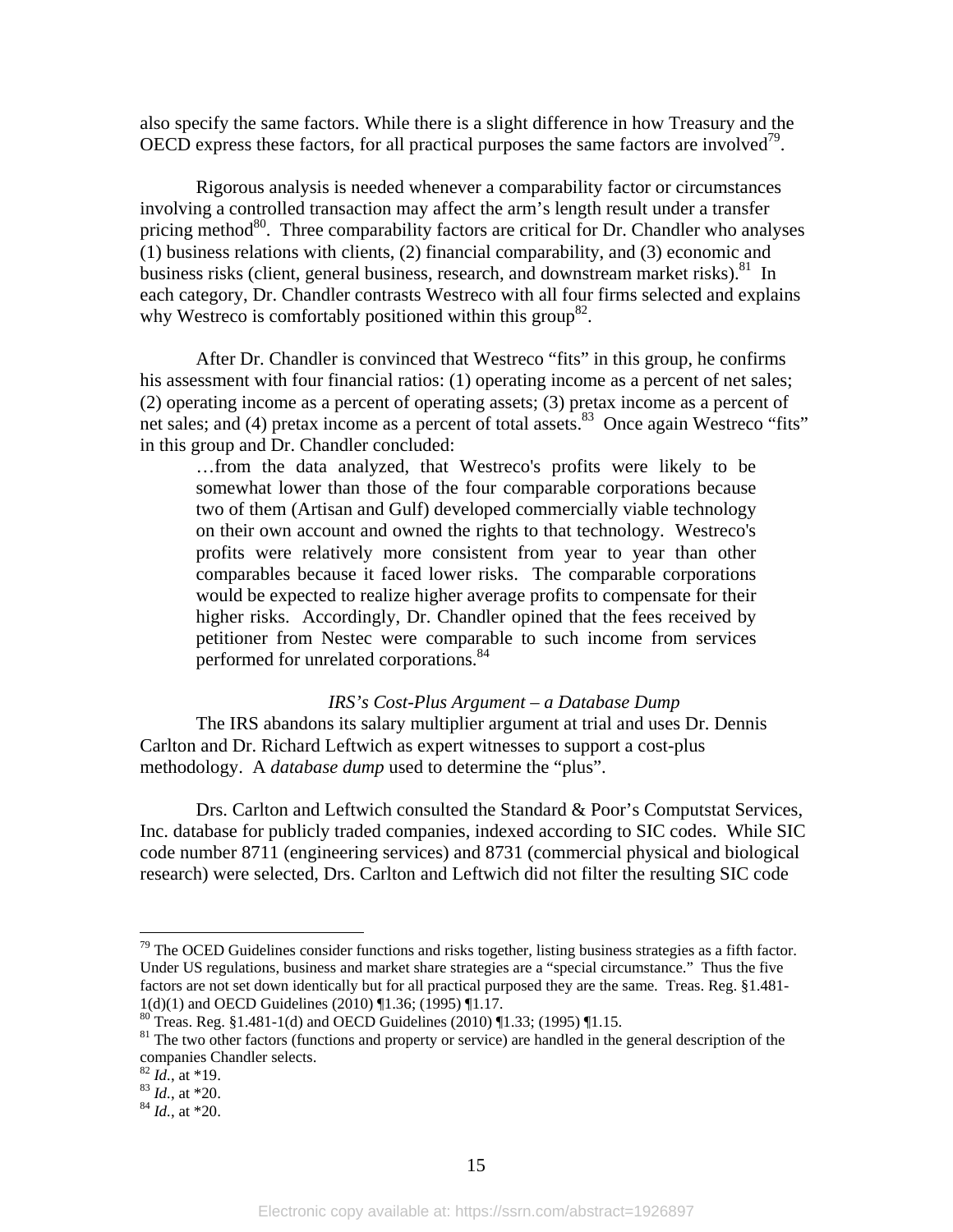also specify the same factors. While there is a slight difference in how Treasury and the OECD express these factors, for all practical purposes the same factors are involved $\frac{7}{9}$ .

 Rigorous analysis is needed whenever a comparability factor or circumstances involving a controlled transaction may affect the arm's length result under a transfer pricing method<sup>80</sup>. Three comparability factors are critical for Dr. Chandler who analyses (1) business relations with clients, (2) financial comparability, and (3) economic and business risks (client, general business, research, and downstream market risks).<sup>81</sup> In each category, Dr. Chandler contrasts Westreco with all four firms selected and explains why Westreco is comfortably positioned within this group<sup>82</sup>.

After Dr. Chandler is convinced that Westreco "fits" in this group, he confirms his assessment with four financial ratios: (1) operating income as a percent of net sales; (2) operating income as a percent of operating assets; (3) pretax income as a percent of net sales; and (4) pretax income as a percent of total assets.<sup>83</sup> Once again Westreco "fits" in this group and Dr. Chandler concluded:

…from the data analyzed, that Westreco's profits were likely to be somewhat lower than those of the four comparable corporations because two of them (Artisan and Gulf) developed commercially viable technology on their own account and owned the rights to that technology. Westreco's profits were relatively more consistent from year to year than other comparables because it faced lower risks. The comparable corporations would be expected to realize higher average profits to compensate for their higher risks. Accordingly, Dr. Chandler opined that the fees received by petitioner from Nestec were comparable to such income from services performed for unrelated corporations.<sup>84</sup>

## *IRS's Cost-Plus Argument – a Database Dump*

The IRS abandons its salary multiplier argument at trial and uses Dr. Dennis Carlton and Dr. Richard Leftwich as expert witnesses to support a cost-plus methodology. A *database dump* used to determine the "plus".

Drs. Carlton and Leftwich consulted the Standard & Poor's Computstat Services, Inc. database for publicly traded companies, indexed according to SIC codes. While SIC code number 8711 (engineering services) and 8731 (commercial physical and biological research) were selected, Drs. Carlton and Leftwich did not filter the resulting SIC code

<sup>&</sup>lt;sup>79</sup> The OCED Guidelines consider functions and risks together, listing business strategies as a fifth factor. Under US regulations, business and market share strategies are a "special circumstance." Thus the five factors are not set down identically but for all practical purposed they are the same. Treas. Reg. §1.481- 1(d)(1) and OECD Guidelines (2010) ¶1.36; (1995) ¶1.17.

 $^{80}$  Treas. Reg. §1.481-1(d) and OECD Guidelines (2010) ¶1.33; (1995) ¶1.15.

<sup>&</sup>lt;sup>81</sup> The two other factors (functions and property or service) are handled in the general description of the companies Chandler selects.<br><sup>82</sup> Id., at \*19.

<sup>&</sup>lt;sup>83</sup> *Id.*, at \*20.<br><sup>84</sup> *Id.*, at \*20.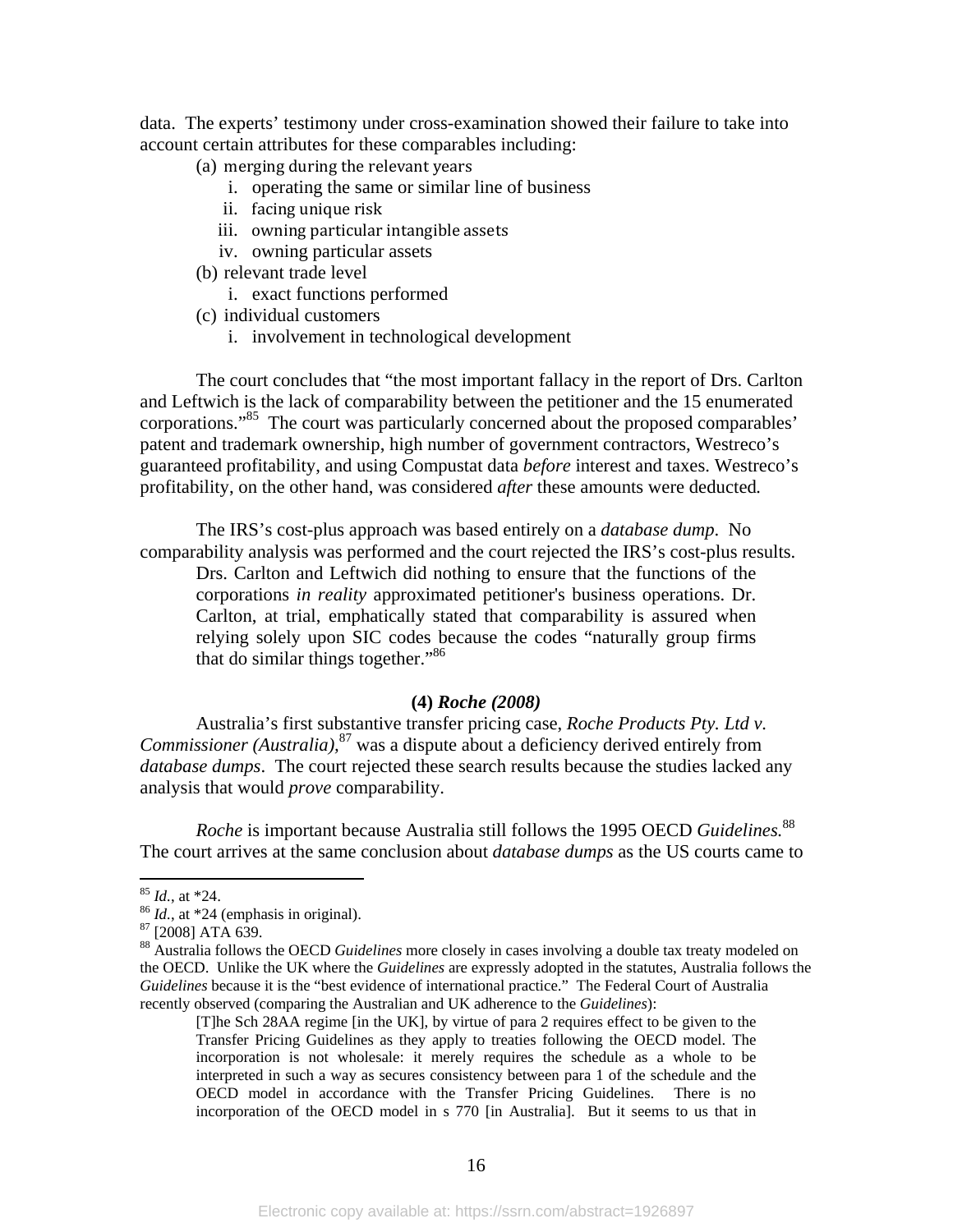data. The experts' testimony under cross-examination showed their failure to take into account certain attributes for these comparables including:

- (a) merging during the relevant years
	- i. operating the same or similar line of business
	- ii. facing unique risk
	- iii. owning particular intangible assets
	- iv. owning particular assets
- (b) relevant trade level
	- i. exact functions performed
- (c) individual customers
	- i. involvement in technological development

 The court concludes that "the most important fallacy in the report of Drs. Carlton and Leftwich is the lack of comparability between the petitioner and the 15 enumerated corporations."85 The court was particularly concerned about the proposed comparables' patent and trademark ownership, high number of government contractors, Westreco's guaranteed profitability, and using Compustat data *before* interest and taxes. Westreco's profitability, on the other hand, was considered *after* these amounts were deducted*.*

 The IRS's cost-plus approach was based entirely on a *database dump*. No comparability analysis was performed and the court rejected the IRS's cost-plus results.

Drs. Carlton and Leftwich did nothing to ensure that the functions of the corporations *in reality* approximated petitioner's business operations. Dr. Carlton, at trial, emphatically stated that comparability is assured when relying solely upon SIC codes because the codes "naturally group firms that do similar things together."<sup>86</sup>

## **(4)** *Roche (2008)*

Australia's first substantive transfer pricing case, *Roche Products Pty. Ltd v. Commissioner (Australia),*<sup>87</sup> was a dispute about a deficiency derived entirely from *database dumps*. The court rejected these search results because the studies lacked any analysis that would *prove* comparability.

*Roche* is important because Australia still follows the 1995 OECD *Guidelines.*<sup>88</sup> The court arrives at the same conclusion about *database dumps* as the US courts came to

[T]he Sch 28AA regime [in the UK], by virtue of para 2 requires effect to be given to the Transfer Pricing Guidelines as they apply to treaties following the OECD model. The incorporation is not wholesale: it merely requires the schedule as a whole to be interpreted in such a way as secures consistency between para 1 of the schedule and the OECD model in accordance with the Transfer Pricing Guidelines. There is no incorporation of the OECD model in s 770 [in Australia]. But it seems to us that in

 $^{85}$  *Id.*, at \*24.

<sup>&</sup>lt;sup>86</sup> *Id.*, at \*24 (emphasis in original).<br><sup>87</sup> [2008] ATA 639.

<sup>88</sup> Australia follows the OECD *Guidelines* more closely in cases involving a double tax treaty modeled on the OECD. Unlike the UK where the *Guidelines* are expressly adopted in the statutes, Australia follows the *Guidelines* because it is the "best evidence of international practice." The Federal Court of Australia recently observed (comparing the Australian and UK adherence to the *Guidelines*):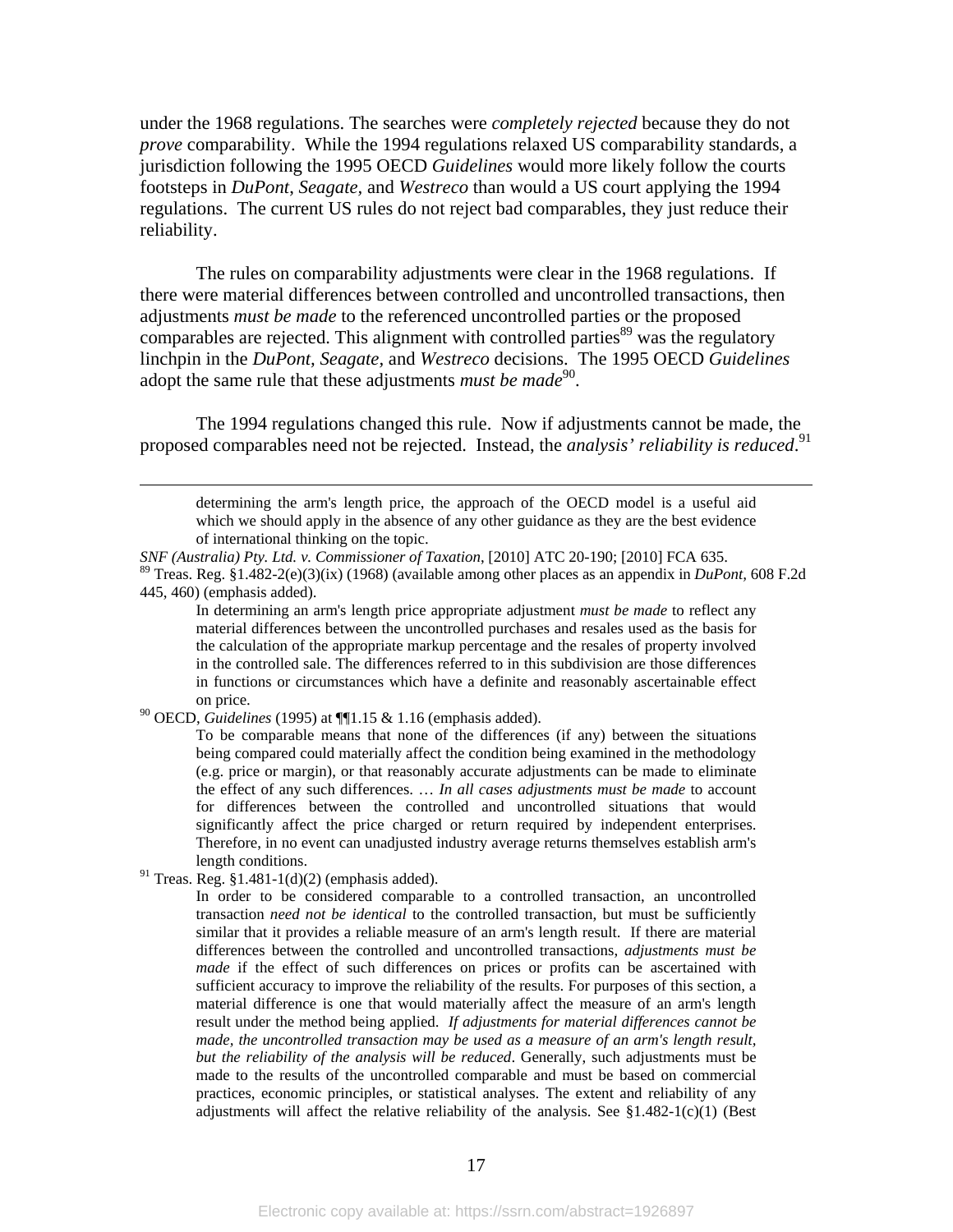under the 1968 regulations. The searches were *completely rejected* because they do not *prove* comparability. While the 1994 regulations relaxed US comparability standards, a jurisdiction following the 1995 OECD *Guidelines* would more likely follow the courts footsteps in *DuPont*, *Seagate,* and *Westreco* than would a US court applying the 1994 regulations. The current US rules do not reject bad comparables, they just reduce their reliability.

The rules on comparability adjustments were clear in the 1968 regulations. If there were material differences between controlled and uncontrolled transactions, then adjustments *must be made* to the referenced uncontrolled parties or the proposed comparables are rejected. This alignment with controlled parties $89$  was the regulatory linchpin in the *DuPont, Seagate,* and *Westreco* decisions. The 1995 OECD *Guidelines* adopt the same rule that these adjustments *must be made*<sup>90</sup>.

The 1994 regulations changed this rule. Now if adjustments cannot be made, the proposed comparables need not be rejected. Instead, the *analysis' reliability is reduced*. 91

 determining the arm's length price, the approach of the OECD model is a useful aid which we should apply in the absence of any other guidance as they are the best evidence of international thinking on the topic.

*SNF (Australia) Pty. Ltd. v. Commissioner of Taxation*, [2010] ATC 20-190; [2010] FCA 635. 89 Treas. Reg. §1.482-2(e)(3)(ix) (1968) (available among other places as an appendix in *DuPont,* 608 F.2d 445, 460) (emphasis added).

In determining an arm's length price appropriate adjustment *must be made* to reflect any material differences between the uncontrolled purchases and resales used as the basis for the calculation of the appropriate markup percentage and the resales of property involved in the controlled sale. The differences referred to in this subdivision are those differences in functions or circumstances which have a definite and reasonably ascertainable effect on price.

90 OECD, *Guidelines* (1995) at ¶¶1.15 & 1.16 (emphasis added).

To be comparable means that none of the differences (if any) between the situations being compared could materially affect the condition being examined in the methodology (e.g. price or margin), or that reasonably accurate adjustments can be made to eliminate the effect of any such differences. … *In all cases adjustments must be made* to account for differences between the controlled and uncontrolled situations that would significantly affect the price charged or return required by independent enterprises. Therefore, in no event can unadjusted industry average returns themselves establish arm's length conditions.

 $91$  Treas. Reg. §1.481-1(d)(2) (emphasis added).

In order to be considered comparable to a controlled transaction, an uncontrolled transaction *need not be identical* to the controlled transaction, but must be sufficiently similar that it provides a reliable measure of an arm's length result. If there are material differences between the controlled and uncontrolled transactions, *adjustments must be made* if the effect of such differences on prices or profits can be ascertained with sufficient accuracy to improve the reliability of the results. For purposes of this section, a material difference is one that would materially affect the measure of an arm's length result under the method being applied. *If adjustments for material differences cannot be made, the uncontrolled transaction may be used as a measure of an arm's length result, but the reliability of the analysis will be reduced*. Generally, such adjustments must be made to the results of the uncontrolled comparable and must be based on commercial practices, economic principles, or statistical analyses. The extent and reliability of any adjustments will affect the relative reliability of the analysis. See  $$1.482-1(c)(1)$  (Best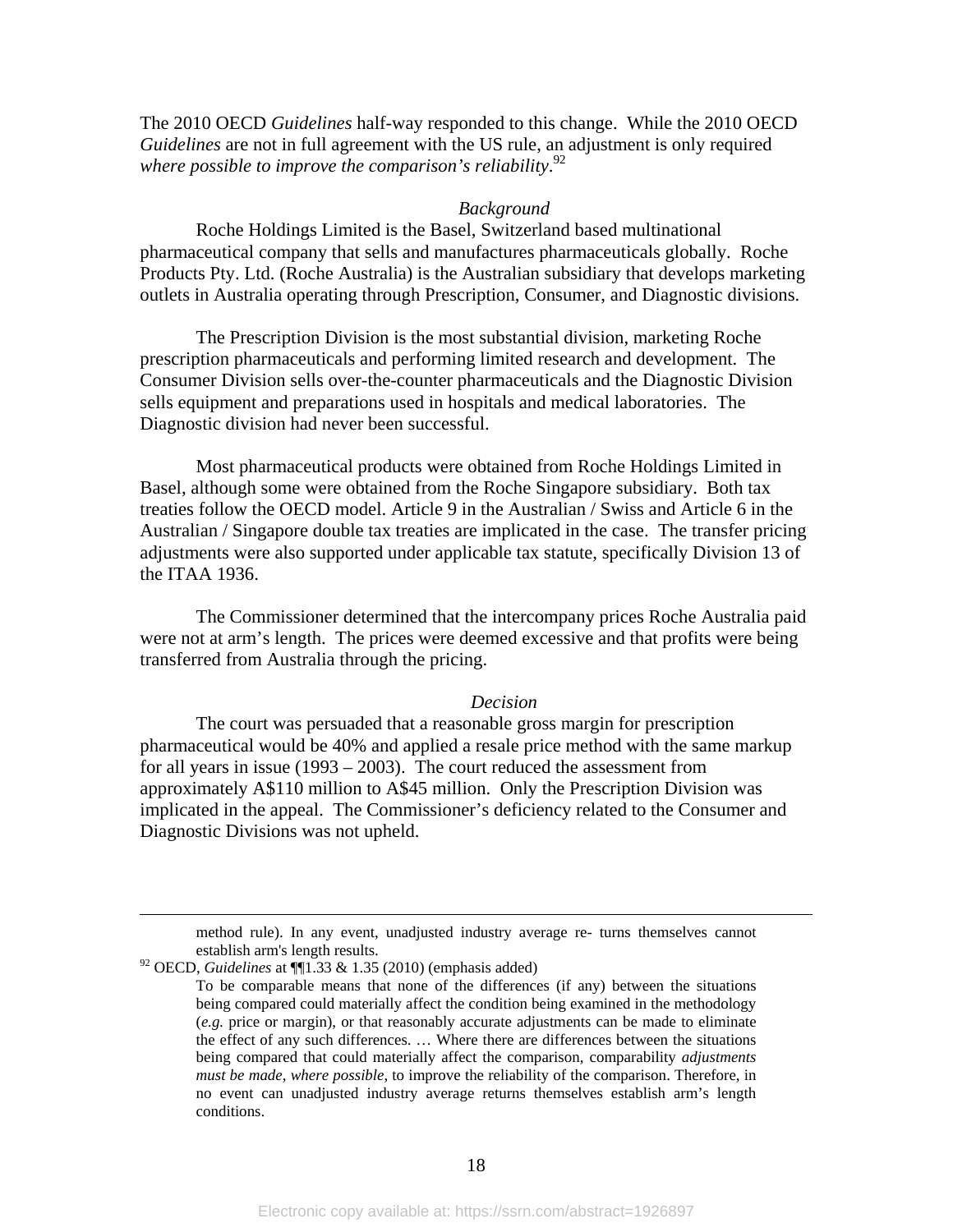The 2010 OECD *Guidelines* half-way responded to this change. While the 2010 OECD *Guidelines* are not in full agreement with the US rule, an adjustment is only required where possible to improve the comparison's reliability.<sup>92</sup>

#### *Background*

Roche Holdings Limited is the Basel, Switzerland based multinational pharmaceutical company that sells and manufactures pharmaceuticals globally. Roche Products Pty. Ltd. (Roche Australia) is the Australian subsidiary that develops marketing outlets in Australia operating through Prescription, Consumer, and Diagnostic divisions.

The Prescription Division is the most substantial division, marketing Roche prescription pharmaceuticals and performing limited research and development. The Consumer Division sells over-the-counter pharmaceuticals and the Diagnostic Division sells equipment and preparations used in hospitals and medical laboratories. The Diagnostic division had never been successful.

Most pharmaceutical products were obtained from Roche Holdings Limited in Basel, although some were obtained from the Roche Singapore subsidiary. Both tax treaties follow the OECD model. Article 9 in the Australian / Swiss and Article 6 in the Australian / Singapore double tax treaties are implicated in the case. The transfer pricing adjustments were also supported under applicable tax statute, specifically Division 13 of the ITAA 1936.

The Commissioner determined that the intercompany prices Roche Australia paid were not at arm's length. The prices were deemed excessive and that profits were being transferred from Australia through the pricing.

#### *Decision*

The court was persuaded that a reasonable gross margin for prescription pharmaceutical would be 40% and applied a resale price method with the same markup for all years in issue (1993 – 2003). The court reduced the assessment from approximately A\$110 million to A\$45 million. Only the Prescription Division was implicated in the appeal. The Commissioner's deficiency related to the Consumer and Diagnostic Divisions was not upheld.

method rule). In any event, unadjusted industry average re- turns themselves cannot establish arm's length results.

<sup>92</sup> OECD, *Guidelines* at ¶¶1.33 & 1.35 (2010) (emphasis added)

To be comparable means that none of the differences (if any) between the situations being compared could materially affect the condition being examined in the methodology (*e.g.* price or margin), or that reasonably accurate adjustments can be made to eliminate the effect of any such differences. … Where there are differences between the situations being compared that could materially affect the comparison, comparability *adjustments must be made, where possible*, to improve the reliability of the comparison. Therefore, in no event can unadjusted industry average returns themselves establish arm's length conditions.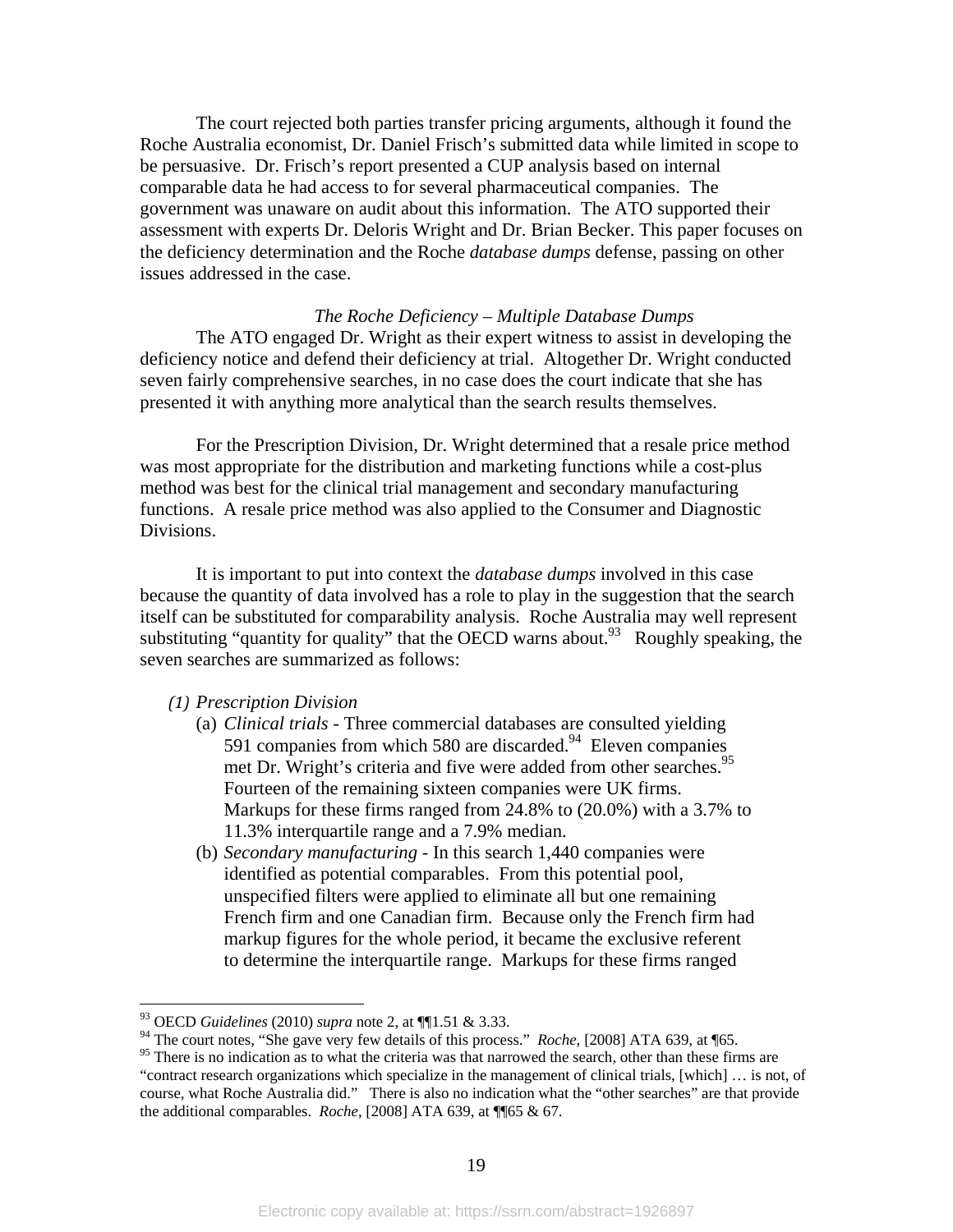The court rejected both parties transfer pricing arguments, although it found the Roche Australia economist, Dr. Daniel Frisch's submitted data while limited in scope to be persuasive. Dr. Frisch's report presented a CUP analysis based on internal comparable data he had access to for several pharmaceutical companies. The government was unaware on audit about this information. The ATO supported their assessment with experts Dr. Deloris Wright and Dr. Brian Becker. This paper focuses on the deficiency determination and the Roche *database dumps* defense, passing on other issues addressed in the case.

## *The Roche Deficiency – Multiple Database Dumps*

The ATO engaged Dr. Wright as their expert witness to assist in developing the deficiency notice and defend their deficiency at trial. Altogether Dr. Wright conducted seven fairly comprehensive searches, in no case does the court indicate that she has presented it with anything more analytical than the search results themselves.

For the Prescription Division, Dr. Wright determined that a resale price method was most appropriate for the distribution and marketing functions while a cost-plus method was best for the clinical trial management and secondary manufacturing functions. A resale price method was also applied to the Consumer and Diagnostic Divisions.

It is important to put into context the *database dumps* involved in this case because the quantity of data involved has a role to play in the suggestion that the search itself can be substituted for comparability analysis. Roche Australia may well represent substituting "quantity for quality" that the OECD warns about.  $\frac{93}{2}$  Roughly speaking, the seven searches are summarized as follows:

## *(1) Prescription Division*

- (a) *Clinical trials* Three commercial databases are consulted yielding 591 companies from which 580 are discarded. $94$  Eleven companies met Dr. Wright's criteria and five were added from other searches.<sup>95</sup> Fourteen of the remaining sixteen companies were UK firms. Markups for these firms ranged from 24.8% to (20.0%) with a 3.7% to 11.3% interquartile range and a 7.9% median.
- (b) *Secondary manufacturing* In this search 1,440 companies were identified as potential comparables. From this potential pool, unspecified filters were applied to eliminate all but one remaining French firm and one Canadian firm. Because only the French firm had markup figures for the whole period, it became the exclusive referent to determine the interquartile range. Markups for these firms ranged

<sup>93</sup> OECD *Guidelines* (2010) *supra* note 2, at ¶¶1.51 & 3.33.

<sup>&</sup>lt;sup>94</sup> The court notes, "She gave very few details of this process." *Roche*, [2008] ATA 639, at ¶65.

<sup>&</sup>lt;sup>95</sup> There is no indication as to what the criteria was that narrowed the search, other than these firms are "contract research organizations which specialize in the management of clinical trials, [which] … is not, of course, what Roche Australia did." There is also no indication what the "other searches" are that provide the additional comparables. *Roche*, [2008] ATA 639, at ¶¶65 & 67.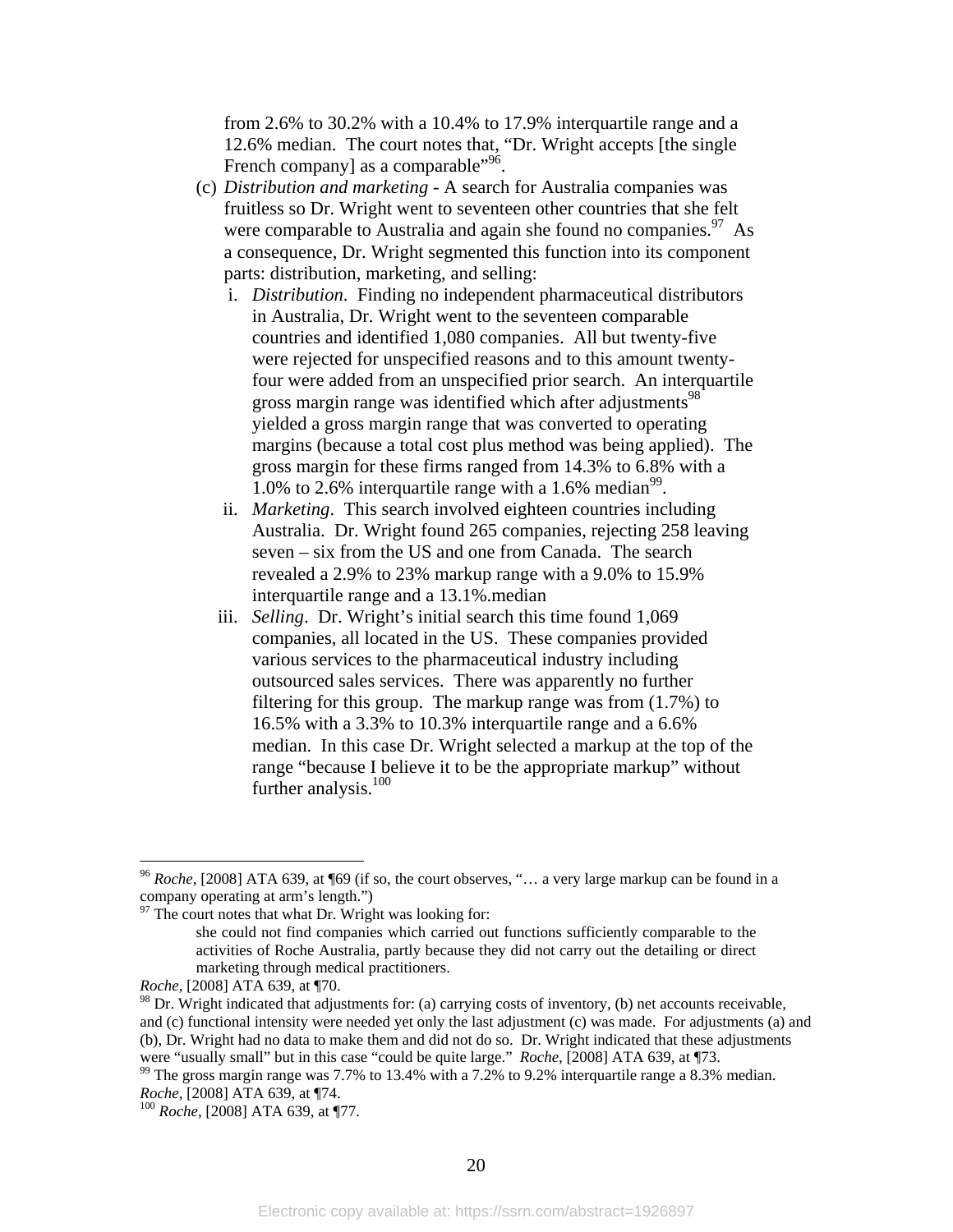from 2.6% to 30.2% with a 10.4% to 17.9% interquartile range and a 12.6% median. The court notes that, "Dr. Wright accepts [the single French company] as a comparable",<sup>96</sup>.

- (c) *Distribution and marketing* A search for Australia companies was fruitless so Dr. Wright went to seventeen other countries that she felt were comparable to Australia and again she found no companies.<sup>97</sup> As a consequence, Dr. Wright segmented this function into its component parts: distribution, marketing, and selling:
	- i. *Distribution*. Finding no independent pharmaceutical distributors in Australia, Dr. Wright went to the seventeen comparable countries and identified 1,080 companies. All but twenty-five were rejected for unspecified reasons and to this amount twentyfour were added from an unspecified prior search. An interquartile gross margin range was identified which after adjustments<sup>98</sup> yielded a gross margin range that was converted to operating margins (because a total cost plus method was being applied). The gross margin for these firms ranged from 14.3% to 6.8% with a 1.0% to 2.6% interquartile range with a 1.6% median<sup>99</sup>.
	- ii. *Marketing*. This search involved eighteen countries including Australia. Dr. Wright found 265 companies, rejecting 258 leaving seven – six from the US and one from Canada. The search revealed a 2.9% to 23% markup range with a 9.0% to 15.9% interquartile range and a 13.1%.median
	- iii. *Selling*. Dr. Wright's initial search this time found 1,069 companies, all located in the US. These companies provided various services to the pharmaceutical industry including outsourced sales services. There was apparently no further filtering for this group. The markup range was from (1.7%) to 16.5% with a 3.3% to 10.3% interquartile range and a 6.6% median. In this case Dr. Wright selected a markup at the top of the range "because I believe it to be the appropriate markup" without further analysis. $100$

<sup>96</sup> *Roche*, [2008] ATA 639, at ¶69 (if so, the court observes, "… a very large markup can be found in a company operating at arm's length.")

<sup>&</sup>lt;sup>97</sup> The court notes that what Dr. Wright was looking for:

she could not find companies which carried out functions sufficiently comparable to the activities of Roche Australia, partly because they did not carry out the detailing or direct marketing through medical practitioners.

*Roche*, [2008] ATA 639, at ¶70.

 $98$  Dr. Wright indicated that adjustments for: (a) carrying costs of inventory, (b) net accounts receivable, and (c) functional intensity were needed yet only the last adjustment (c) was made. For adjustments (a) and (b), Dr. Wright had no data to make them and did not do so. Dr. Wright indicated that these adjustments were "usually small" but in this case "could be quite large." *Roche*, [2008] ATA 639, at  $\P$ 73.

<sup>&</sup>lt;sup>99</sup> The gross margin range was 7.7% to 13.4% with a 7.2% to 9.2% interquartile range a 8.3% median. *Roche*, [2008] ATA 639, at  $\P$ 74.

<sup>&</sup>lt;sup>100</sup> *Roche*, [2008] ATA 639, at ¶77.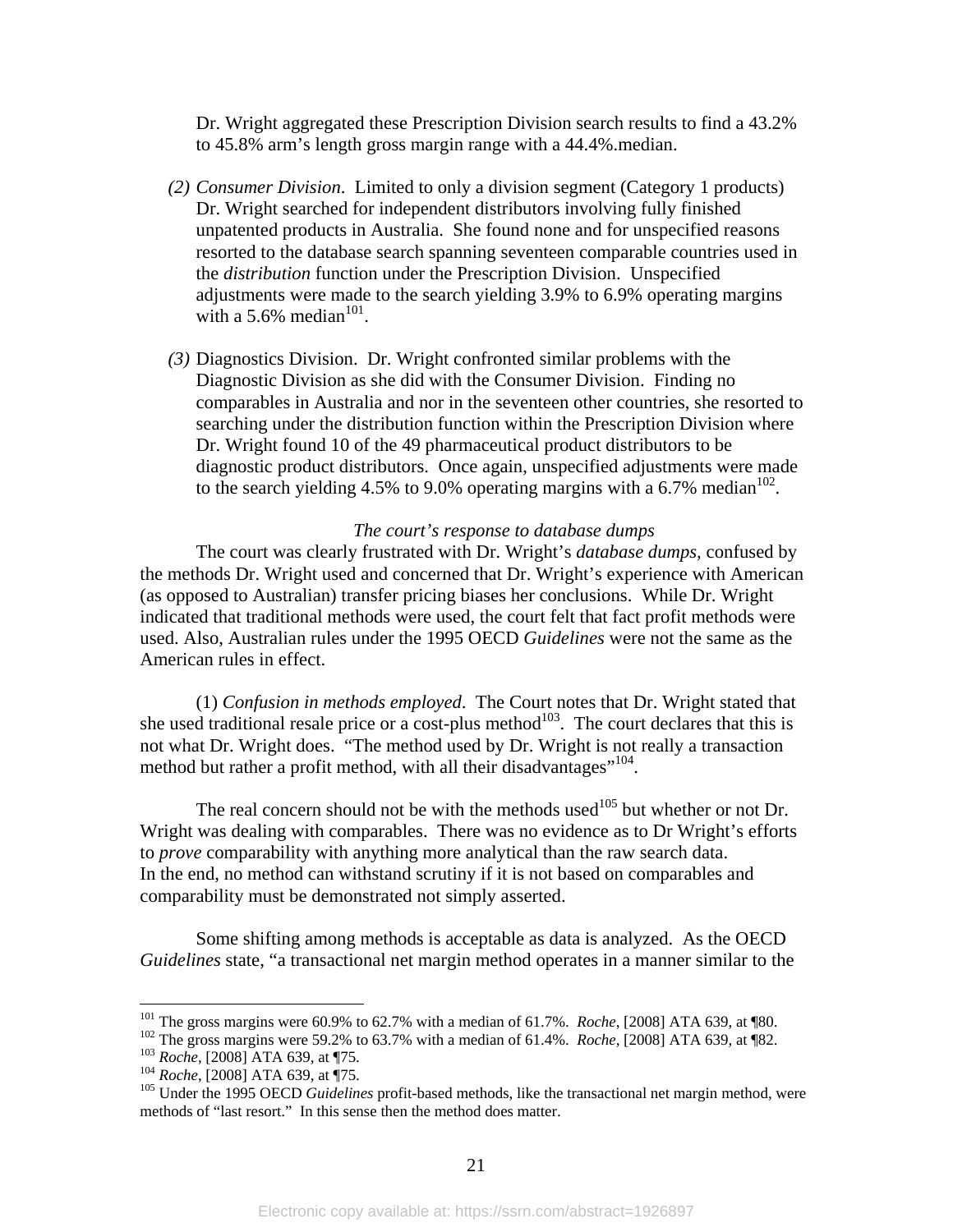Dr. Wright aggregated these Prescription Division search results to find a 43.2% to 45.8% arm's length gross margin range with a 44.4%.median.

- *(2) Consumer Division*. Limited to only a division segment (Category 1 products) Dr. Wright searched for independent distributors involving fully finished unpatented products in Australia. She found none and for unspecified reasons resorted to the database search spanning seventeen comparable countries used in the *distribution* function under the Prescription Division. Unspecified adjustments were made to the search yielding 3.9% to 6.9% operating margins with a 5.6% median $101$ .
- *(3)* Diagnostics Division. Dr. Wright confronted similar problems with the Diagnostic Division as she did with the Consumer Division. Finding no comparables in Australia and nor in the seventeen other countries, she resorted to searching under the distribution function within the Prescription Division where Dr. Wright found 10 of the 49 pharmaceutical product distributors to be diagnostic product distributors. Once again, unspecified adjustments were made to the search yielding 4.5% to 9.0% operating margins with a 6.7% median<sup>102</sup>.

## *The court's response to database dumps*

The court was clearly frustrated with Dr. Wright's *database dumps,* confused by the methods Dr. Wright used and concerned that Dr. Wright's experience with American (as opposed to Australian) transfer pricing biases her conclusions. While Dr. Wright indicated that traditional methods were used, the court felt that fact profit methods were used. Also, Australian rules under the 1995 OECD *Guidelines* were not the same as the American rules in effect.

(1) *Confusion in methods employed*. The Court notes that Dr. Wright stated that she used traditional resale price or a cost-plus method<sup>103</sup>. The court declares that this is not what Dr. Wright does. "The method used by Dr. Wright is not really a transaction method but rather a profit method, with all their disadvantages"<sup>104</sup>.

The real concern should not be with the methods used<sup>105</sup> but whether or not Dr. Wright was dealing with comparables. There was no evidence as to Dr Wright's efforts to *prove* comparability with anything more analytical than the raw search data. In the end, no method can withstand scrutiny if it is not based on comparables and comparability must be demonstrated not simply asserted.

Some shifting among methods is acceptable as data is analyzed. As the OECD *Guidelines* state, "a transactional net margin method operates in a manner similar to the

<sup>&</sup>lt;sup>101</sup> The gross margins were 60.9% to 62.7% with a median of 61.7%. *Roche*, [2008] ATA 639, at  $$80$ .

<sup>&</sup>lt;sup>102</sup> The gross margins were 59.2% to 63.7% with a median of 61.4%. *Roche*, [2008] ATA 639, at  $$82$ .<br><sup>103</sup> *Roche*, [2008] ATA 639, at  $$75$ .<br><sup>104</sup> *Roche*, [2008] ATA 639, at  $$75$ .<br><sup>104</sup> *Roche*, [2008] ATA 639, at  $$$ 

methods of "last resort." In this sense then the method does matter.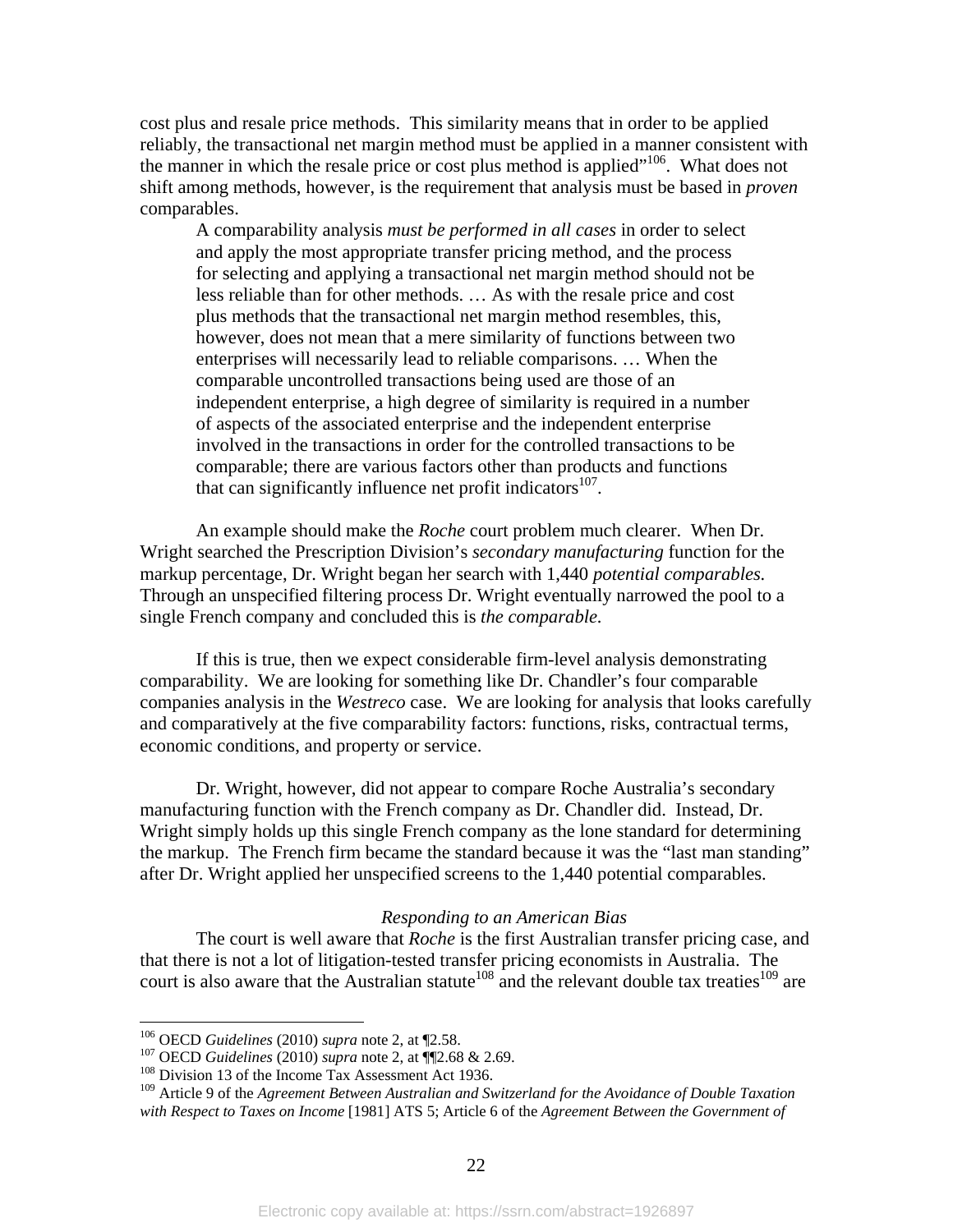cost plus and resale price methods. This similarity means that in order to be applied reliably, the transactional net margin method must be applied in a manner consistent with the manner in which the resale price or cost plus method is applied"<sup>106</sup>. What does not shift among methods, however, is the requirement that analysis must be based in *proven* comparables.

A comparability analysis *must be performed in all cases* in order to select and apply the most appropriate transfer pricing method, and the process for selecting and applying a transactional net margin method should not be less reliable than for other methods. … As with the resale price and cost plus methods that the transactional net margin method resembles, this, however, does not mean that a mere similarity of functions between two enterprises will necessarily lead to reliable comparisons. … When the comparable uncontrolled transactions being used are those of an independent enterprise, a high degree of similarity is required in a number of aspects of the associated enterprise and the independent enterprise involved in the transactions in order for the controlled transactions to be comparable; there are various factors other than products and functions that can significantly influence net profit indicators $107$ .

An example should make the *Roche* court problem much clearer. When Dr. Wright searched the Prescription Division's *secondary manufacturing* function for the markup percentage, Dr. Wright began her search with 1,440 *potential comparables.* Through an unspecified filtering process Dr. Wright eventually narrowed the pool to a single French company and concluded this is *the comparable.*

If this is true, then we expect considerable firm-level analysis demonstrating comparability. We are looking for something like Dr. Chandler's four comparable companies analysis in the *Westreco* case. We are looking for analysis that looks carefully and comparatively at the five comparability factors: functions, risks, contractual terms, economic conditions, and property or service.

Dr. Wright, however, did not appear to compare Roche Australia's secondary manufacturing function with the French company as Dr. Chandler did. Instead, Dr. Wright simply holds up this single French company as the lone standard for determining the markup. The French firm became the standard because it was the "last man standing" after Dr. Wright applied her unspecified screens to the 1,440 potential comparables.

## *Responding to an American Bias*

The court is well aware that *Roche* is the first Australian transfer pricing case, and that there is not a lot of litigation-tested transfer pricing economists in Australia. The court is also aware that the Australian statute<sup>108</sup> and the relevant double tax treaties<sup>109</sup> are

 $106$  OECD Guidelines (2010) supra note 2, at  $\P$ 2.58.

<sup>&</sup>lt;sup>107</sup> OECD *Guidelines* (2010) *supra* note 2, at ¶¶2.68 & 2.69. <sup>108</sup> Division 13 of the Income Tax Assessment Act 1936.

<sup>109</sup> Article 9 of the *Agreement Between Australian and Switzerland for the Avoidance of Double Taxation with Respect to Taxes on Income* [1981] ATS 5; Article 6 of the *Agreement Between the Government of*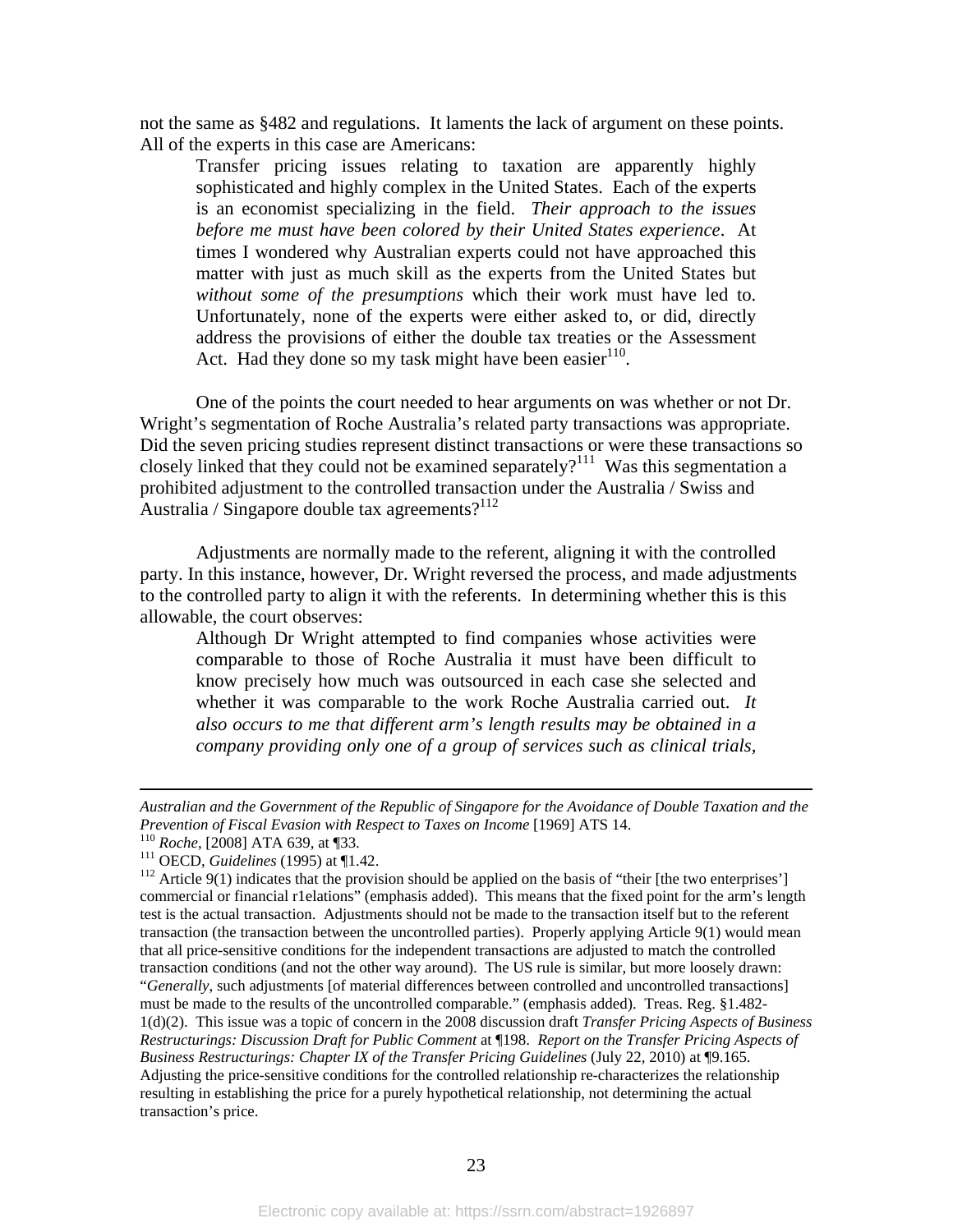not the same as §482 and regulations. It laments the lack of argument on these points. All of the experts in this case are Americans:

Transfer pricing issues relating to taxation are apparently highly sophisticated and highly complex in the United States. Each of the experts is an economist specializing in the field. *Their approach to the issues before me must have been colored by their United States experience*. At times I wondered why Australian experts could not have approached this matter with just as much skill as the experts from the United States but *without some of the presumptions* which their work must have led to. Unfortunately, none of the experts were either asked to, or did, directly address the provisions of either the double tax treaties or the Assessment Act. Had they done so my task might have been easier $110$ .

One of the points the court needed to hear arguments on was whether or not Dr. Wright's segmentation of Roche Australia's related party transactions was appropriate. Did the seven pricing studies represent distinct transactions or were these transactions so closely linked that they could not be examined separately?<sup>111</sup> Was this segmentation a prohibited adjustment to the controlled transaction under the Australia / Swiss and Australia / Singapore double tax agreements? $112$ 

Adjustments are normally made to the referent, aligning it with the controlled party. In this instance, however, Dr. Wright reversed the process, and made adjustments to the controlled party to align it with the referents. In determining whether this is this allowable, the court observes:

Although Dr Wright attempted to find companies whose activities were comparable to those of Roche Australia it must have been difficult to know precisely how much was outsourced in each case she selected and whether it was comparable to the work Roche Australia carried out. *It also occurs to me that different arm's length results may be obtained in a company providing only one of a group of services such as clinical trials,* 

*Australian and the Government of the Republic of Singapore for the Avoidance of Double Taxation and the Prevention of Fiscal Evasion with Respect to Taxes on Income* [1969] ATS 14.<br><sup>110</sup> *Roche*, [2008] ATA 639, at ¶33.<br><sup>111</sup> OECD, *Guidelines* (1995) at ¶1.42.<br><sup>112</sup> Article 9(1) indicates that the provision should be appli

commercial or financial r1elations" (emphasis added). This means that the fixed point for the arm's length test is the actual transaction. Adjustments should not be made to the transaction itself but to the referent transaction (the transaction between the uncontrolled parties). Properly applying Article 9(1) would mean that all price-sensitive conditions for the independent transactions are adjusted to match the controlled transaction conditions (and not the other way around). The US rule is similar, but more loosely drawn: "*Generally*, such adjustments [of material differences between controlled and uncontrolled transactions] must be made to the results of the uncontrolled comparable." (emphasis added). Treas. Reg. §1.482- 1(d)(2). This issue was a topic of concern in the 2008 discussion draft *Transfer Pricing Aspects of Business Restructurings: Discussion Draft for Public Comment* at ¶198. *Report on the Transfer Pricing Aspects of Business Restructurings: Chapter IX of the Transfer Pricing Guidelines* (July 22, 2010) at ¶9.165. Adjusting the price-sensitive conditions for the controlled relationship re-characterizes the relationship resulting in establishing the price for a purely hypothetical relationship, not determining the actual transaction's price.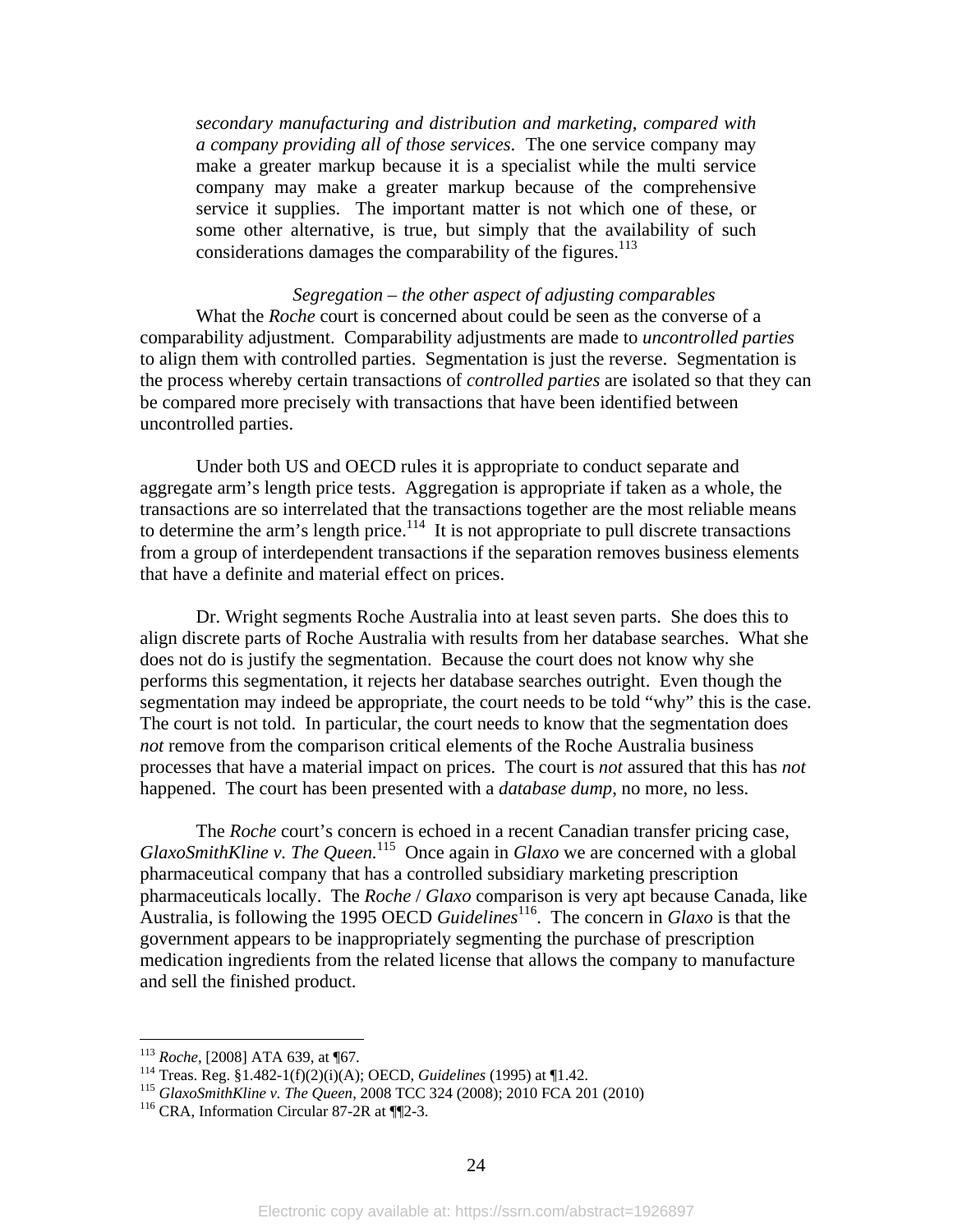*secondary manufacturing and distribution and marketing, compared with a company providing all of those services*. The one service company may make a greater markup because it is a specialist while the multi service company may make a greater markup because of the comprehensive service it supplies. The important matter is not which one of these, or some other alternative, is true, but simply that the availability of such considerations damages the comparability of the figures.<sup>113</sup>

## *Segregation – the other aspect of adjusting comparables*

What the *Roche* court is concerned about could be seen as the converse of a comparability adjustment. Comparability adjustments are made to *uncontrolled parties* to align them with controlled parties. Segmentation is just the reverse. Segmentation is the process whereby certain transactions of *controlled parties* are isolated so that they can be compared more precisely with transactions that have been identified between uncontrolled parties.

Under both US and OECD rules it is appropriate to conduct separate and aggregate arm's length price tests. Aggregation is appropriate if taken as a whole, the transactions are so interrelated that the transactions together are the most reliable means to determine the arm's length price.<sup>114</sup> It is not appropriate to pull discrete transactions from a group of interdependent transactions if the separation removes business elements that have a definite and material effect on prices.

Dr. Wright segments Roche Australia into at least seven parts. She does this to align discrete parts of Roche Australia with results from her database searches. What she does not do is justify the segmentation. Because the court does not know why she performs this segmentation, it rejects her database searches outright. Even though the segmentation may indeed be appropriate, the court needs to be told "why" this is the case. The court is not told. In particular, the court needs to know that the segmentation does *not* remove from the comparison critical elements of the Roche Australia business processes that have a material impact on prices. The court is *not* assured that this has *not* happened. The court has been presented with a *database dump*, no more, no less.

The *Roche* court's concern is echoed in a recent Canadian transfer pricing case, *GlaxoSmithKline v. The Queen.*<sup>115</sup> Once again in *Glaxo* we are concerned with a global pharmaceutical company that has a controlled subsidiary marketing prescription pharmaceuticals locally. The *Roche* / *Glaxo* comparison is very apt because Canada, like Australia, is following the 1995 OECD *Guidelines*116. The concern in *Glaxo* is that the government appears to be inappropriately segmenting the purchase of prescription medication ingredients from the related license that allows the company to manufacture and sell the finished product.

 $113$  Roche, [2008] ATA 639, at [67.

<sup>&</sup>lt;sup>114</sup> Treas. Reg. §1.482-1(f)(2)(i)(A); OECD, *Guidelines* (1995) at ¶1.42.<br><sup>115</sup> *GlaxoSmithKline v. The Queen*, 2008 TCC 324 (2008); 2010 FCA 201 (2010)<br><sup>116</sup> CRA, Information Circular 87-2R at ¶¶2-3.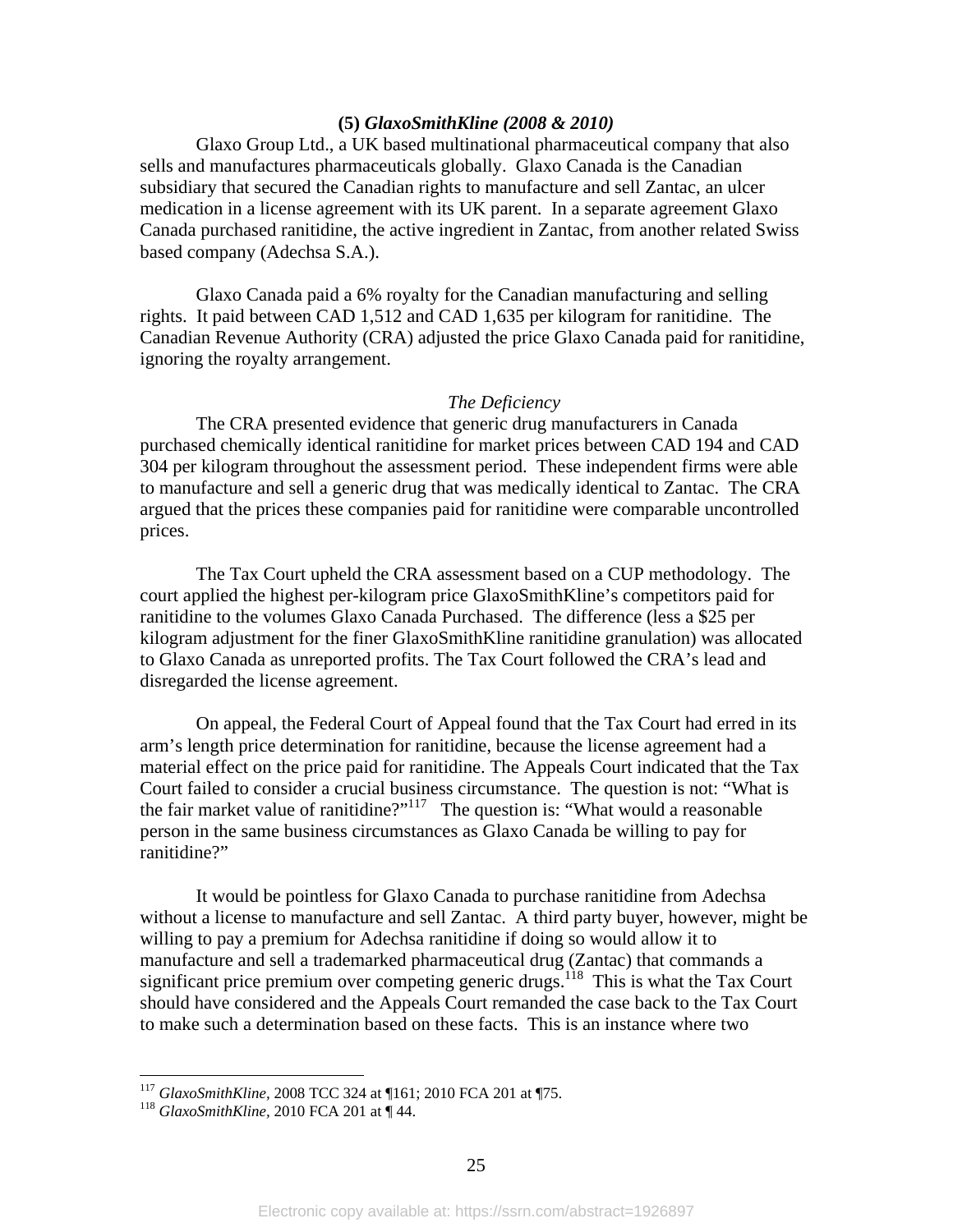## **(5)** *GlaxoSmithKline (2008 & 2010)*

Glaxo Group Ltd., a UK based multinational pharmaceutical company that also sells and manufactures pharmaceuticals globally. Glaxo Canada is the Canadian subsidiary that secured the Canadian rights to manufacture and sell Zantac, an ulcer medication in a license agreement with its UK parent. In a separate agreement Glaxo Canada purchased ranitidine, the active ingredient in Zantac, from another related Swiss based company (Adechsa S.A.).

Glaxo Canada paid a 6% royalty for the Canadian manufacturing and selling rights. It paid between CAD 1,512 and CAD 1,635 per kilogram for ranitidine. The Canadian Revenue Authority (CRA) adjusted the price Glaxo Canada paid for ranitidine, ignoring the royalty arrangement.

## *The Deficiency*

The CRA presented evidence that generic drug manufacturers in Canada purchased chemically identical ranitidine for market prices between CAD 194 and CAD 304 per kilogram throughout the assessment period. These independent firms were able to manufacture and sell a generic drug that was medically identical to Zantac. The CRA argued that the prices these companies paid for ranitidine were comparable uncontrolled prices.

The Tax Court upheld the CRA assessment based on a CUP methodology. The court applied the highest per-kilogram price GlaxoSmithKline's competitors paid for ranitidine to the volumes Glaxo Canada Purchased. The difference (less a \$25 per kilogram adjustment for the finer GlaxoSmithKline ranitidine granulation) was allocated to Glaxo Canada as unreported profits. The Tax Court followed the CRA's lead and disregarded the license agreement.

On appeal, the Federal Court of Appeal found that the Tax Court had erred in its arm's length price determination for ranitidine, because the license agreement had a material effect on the price paid for ranitidine. The Appeals Court indicated that the Tax Court failed to consider a crucial business circumstance. The question is not: "What is the fair market value of ranitidine?"<sup>117</sup> The question is: "What would a reasonable person in the same business circumstances as Glaxo Canada be willing to pay for ranitidine?"

It would be pointless for Glaxo Canada to purchase ranitidine from Adechsa without a license to manufacture and sell Zantac. A third party buyer, however, might be willing to pay a premium for Adechsa ranitidine if doing so would allow it to manufacture and sell a trademarked pharmaceutical drug (Zantac) that commands a significant price premium over competing generic drugs.<sup>118</sup> This is what the Tax Court should have considered and the Appeals Court remanded the case back to the Tax Court to make such a determination based on these facts. This is an instance where two

<sup>117</sup> *GlaxoSmithKline,* 2008 TCC 324 at ¶161; 2010 FCA 201 at ¶75. 118 *GlaxoSmithKline,* 2010 FCA 201 at ¶ 44.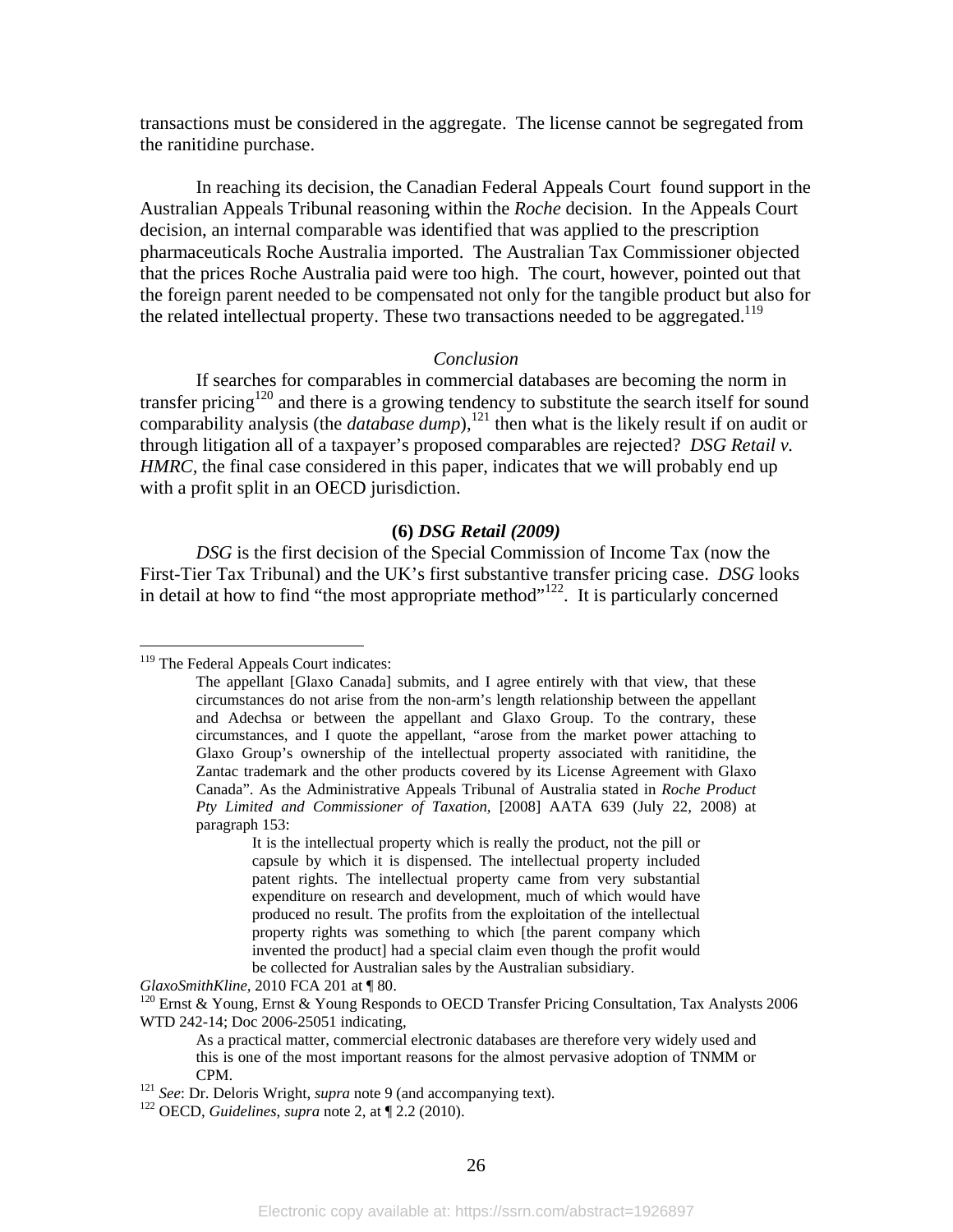transactions must be considered in the aggregate. The license cannot be segregated from the ranitidine purchase.

In reaching its decision, the Canadian Federal Appeals Court found support in the Australian Appeals Tribunal reasoning within the *Roche* decision. In the Appeals Court decision, an internal comparable was identified that was applied to the prescription pharmaceuticals Roche Australia imported. The Australian Tax Commissioner objected that the prices Roche Australia paid were too high. The court, however, pointed out that the foreign parent needed to be compensated not only for the tangible product but also for the related intellectual property. These two transactions needed to be aggregated.<sup>119</sup>

## *Conclusion*

 If searches for comparables in commercial databases are becoming the norm in transfer pricing<sup>120</sup> and there is a growing tendency to substitute the search itself for sound comparability analysis (the *database dump*),<sup>121</sup> then what is the likely result if on audit or through litigation all of a taxpayer's proposed comparables are rejected? *DSG Retail v. HMRC*, the final case considered in this paper, indicates that we will probably end up with a profit split in an OECD jurisdiction.

## **(6)** *DSG Retail (2009)*

*DSG* is the first decision of the Special Commission of Income Tax (now the First-Tier Tax Tribunal) and the UK's first substantive transfer pricing case. *DSG* looks in detail at how to find "the most appropriate method"<sup>122</sup>. It is particularly concerned

<sup>&</sup>lt;sup>119</sup> The Federal Appeals Court indicates:

The appellant [Glaxo Canada] submits, and I agree entirely with that view, that these circumstances do not arise from the non-arm's length relationship between the appellant and Adechsa or between the appellant and Glaxo Group. To the contrary, these circumstances, and I quote the appellant, "arose from the market power attaching to Glaxo Group's ownership of the intellectual property associated with ranitidine, the Zantac trademark and the other products covered by its License Agreement with Glaxo Canada". As the Administrative Appeals Tribunal of Australia stated in *Roche Product Pty Limited and Commissioner of Taxation*, [2008] AATA 639 (July 22, 2008) at paragraph 153:

It is the intellectual property which is really the product, not the pill or capsule by which it is dispensed. The intellectual property included patent rights. The intellectual property came from very substantial expenditure on research and development, much of which would have produced no result. The profits from the exploitation of the intellectual property rights was something to which [the parent company which invented the product] had a special claim even though the profit would be collected for Australian sales by the Australian subsidiary.

*GlaxoSmithKline,* 2010 FCA 201 at ¶ 80.<br><sup>120</sup> Ernst & Young, Ernst & Young Responds to OECD Transfer Pricing Consultation, Tax Analysts 2006 WTD 242-14; Doc 2006-25051 indicating,

As a practical matter, commercial electronic databases are therefore very widely used and this is one of the most important reasons for the almost pervasive adoption of TNMM or

CPM. 121 *See*: Dr. Deloris Wright, *supra* note 9 (and accompanying text). 122 OECD, *Guidelines*, *supra* note 2, at ¶ 2.2 (2010).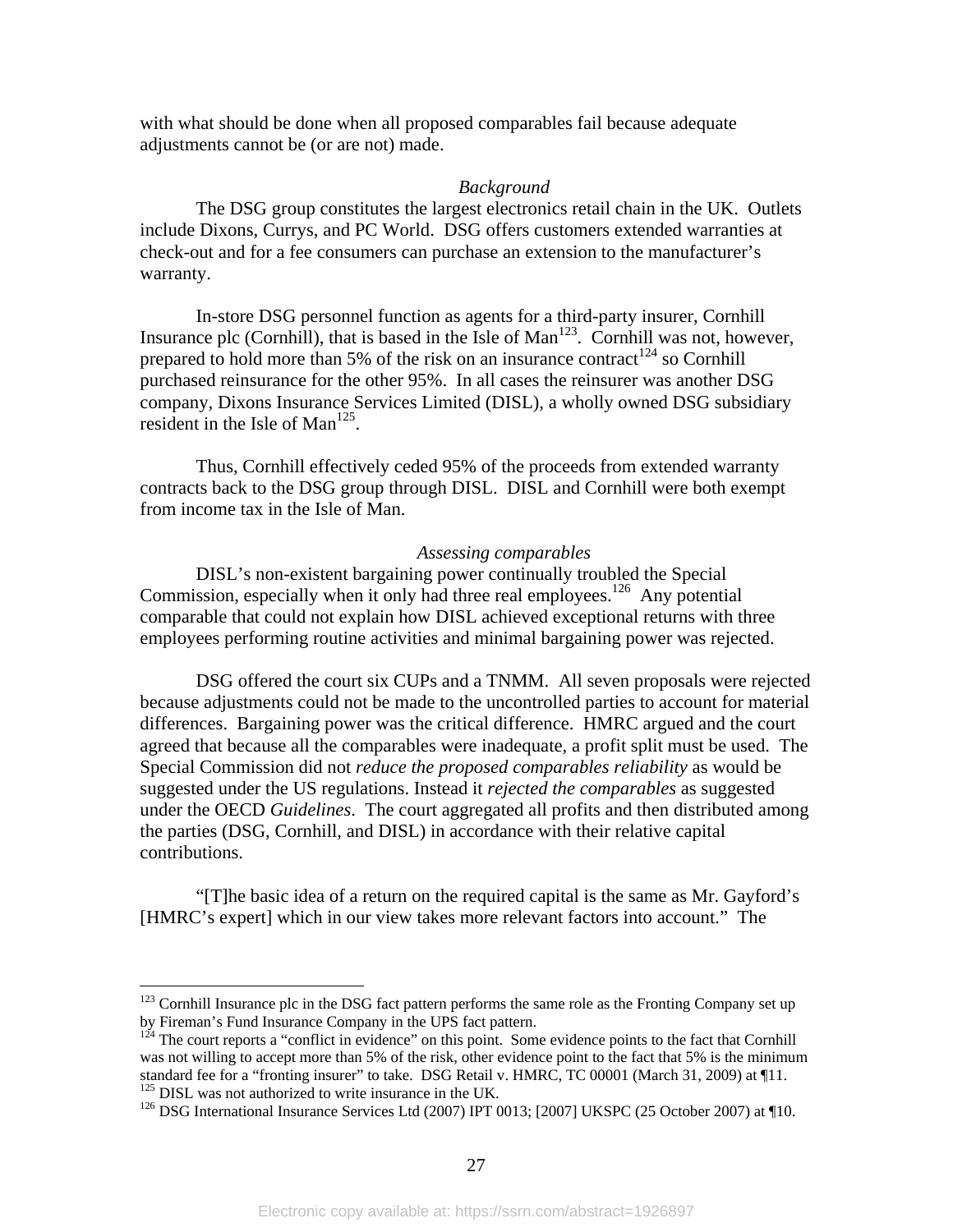with what should be done when all proposed comparables fail because adequate adjustments cannot be (or are not) made.

#### *Background*

The DSG group constitutes the largest electronics retail chain in the UK. Outlets include Dixons, Currys, and PC World. DSG offers customers extended warranties at check-out and for a fee consumers can purchase an extension to the manufacturer's warranty.

In-store DSG personnel function as agents for a third-party insurer, Cornhill Insurance plc (Cornhill), that is based in the Isle of Man<sup>123</sup>. Cornhill was not, however, prepared to hold more than 5% of the risk on an insurance contract<sup>124</sup> so Cornhill purchased reinsurance for the other 95%. In all cases the reinsurer was another DSG company, Dixons Insurance Services Limited (DISL), a wholly owned DSG subsidiary resident in the Isle of Man<sup>125</sup>.

Thus, Cornhill effectively ceded 95% of the proceeds from extended warranty contracts back to the DSG group through DISL. DISL and Cornhill were both exempt from income tax in the Isle of Man.

#### *Assessing comparables*

DISL's non-existent bargaining power continually troubled the Special Commission, especially when it only had three real employees.<sup>126</sup> Any potential comparable that could not explain how DISL achieved exceptional returns with three employees performing routine activities and minimal bargaining power was rejected.

DSG offered the court six CUPs and a TNMM. All seven proposals were rejected because adjustments could not be made to the uncontrolled parties to account for material differences. Bargaining power was the critical difference. HMRC argued and the court agreed that because all the comparables were inadequate, a profit split must be used. The Special Commission did not *reduce the proposed comparables reliability* as would be suggested under the US regulations. Instead it *rejected the comparables* as suggested under the OECD *Guidelines*. The court aggregated all profits and then distributed among the parties (DSG, Cornhill, and DISL) in accordance with their relative capital contributions.

"[T]he basic idea of a return on the required capital is the same as Mr. Gayford's [HMRC's expert] which in our view takes more relevant factors into account." The

 $123$  Cornhill Insurance plc in the DSG fact pattern performs the same role as the Fronting Company set up by Fireman's Fund Insurance Company in the UPS fact pattern.<br><sup>124</sup> The court reports a "conflict in evidence" on this point. Some evidence points to the fact that Cornhill

was not willing to accept more than 5% of the risk, other evidence point to the fact that 5% is the minimum standard fee for a "fronting insurer" to take. DSG Retail v. HMRC, TC 00001 (March 31, 2009) at ¶11.<br><sup>125</sup> DISL was not authorized to write insurance in the UK.

<sup>&</sup>lt;sup>126</sup> DSG International Insurance Services Ltd (2007) IPT 0013; [2007] UKSPC (25 October 2007) at ¶10.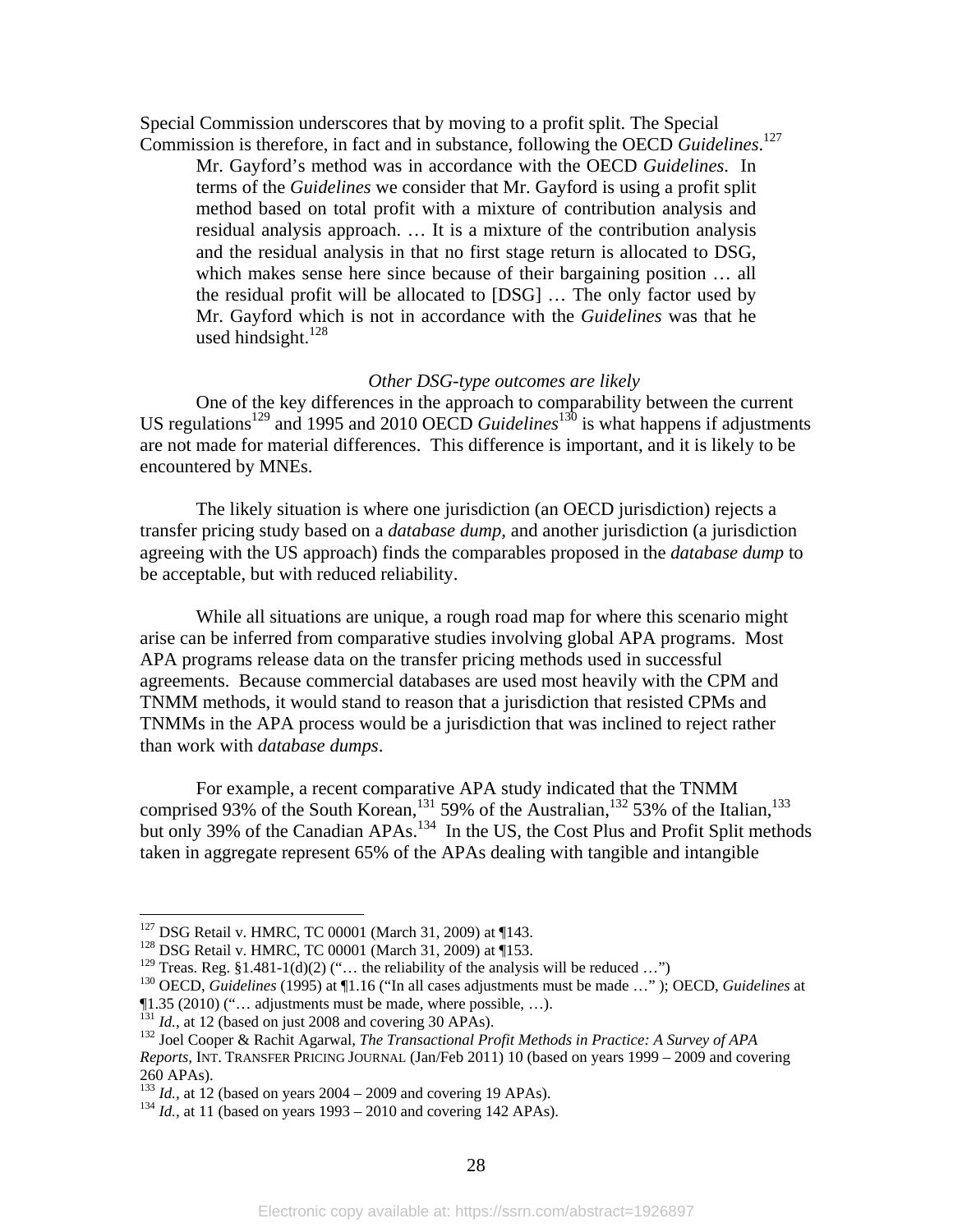Special Commission underscores that by moving to a profit split. The Special Commission is therefore, in fact and in substance, following the OECD *Guidelines*. 127

Mr. Gayford's method was in accordance with the OECD *Guidelines*. In terms of the *Guidelines* we consider that Mr. Gayford is using a profit split method based on total profit with a mixture of contribution analysis and residual analysis approach. … It is a mixture of the contribution analysis and the residual analysis in that no first stage return is allocated to DSG, which makes sense here since because of their bargaining position ... all the residual profit will be allocated to [DSG] … The only factor used by Mr. Gayford which is not in accordance with the *Guidelines* was that he used hindsight. $128$ 

## *Other DSG-type outcomes are likely*

One of the key differences in the approach to comparability between the current US regulations<sup>129</sup> and 1995 and 2010 OECD *Guidelines*<sup>130</sup> is what happens if adjustments are not made for material differences. This difference is important, and it is likely to be encountered by MNEs.

The likely situation is where one jurisdiction (an OECD jurisdiction) rejects a transfer pricing study based on a *database dump,* and another jurisdiction (a jurisdiction agreeing with the US approach) finds the comparables proposed in the *database dump* to be acceptable, but with reduced reliability.

 While all situations are unique, a rough road map for where this scenario might arise can be inferred from comparative studies involving global APA programs. Most APA programs release data on the transfer pricing methods used in successful agreements. Because commercial databases are used most heavily with the CPM and TNMM methods, it would stand to reason that a jurisdiction that resisted CPMs and TNMMs in the APA process would be a jurisdiction that was inclined to reject rather than work with *database dumps*.

 For example, a recent comparative APA study indicated that the TNMM comprised 93% of the South Korean,<sup>131</sup> 59% of the Australian,<sup>132</sup> 53% of the Italian,<sup>133</sup> but only 39% of the Canadian APAs.<sup>134</sup> In the US, the Cost Plus and Profit Split methods taken in aggregate represent 65% of the APAs dealing with tangible and intangible

1

<sup>&</sup>lt;sup>127</sup> DSG Retail v. HMRC, TC 00001 (March 31, 2009) at ¶143.<br><sup>128</sup> DSG Retail v. HMRC, TC 00001 (March 31, 2009) at ¶153.<br><sup>129</sup> Treas. Reg. §1.481-1(d)(2) ("... the reliability of the analysis will be reduced ...")

<sup>&</sup>lt;sup>130</sup> OECD, Guidelines (1995) at ¶1.16 ("In all cases adjustments must be made ..." ); OECD, Guidelines at  $\P$ 1.35 (2010) ("... adjustments must be made, where possible, ...).<br><sup>131</sup> *Id.*, at 12 (based on just 2008 and covering 30 APAs).

<sup>&</sup>lt;sup>132</sup> Joel Cooper & Rachit Agarwal, *The Transactional Profit Methods in Practice: A Survey of APA Reports,* INT. TRANSFER PRICING JOURNAL (Jan/Feb 2011) 10 (based on years 1999 – 2009 and covering 260 APAs).<br> $^{133}$  *Id.*, at 12 (based on years 2004 – 2009 and covering 19 APAs).

 $134$  *Id.*, at 11 (based on years 1993 – 2010 and covering 142 APAs).